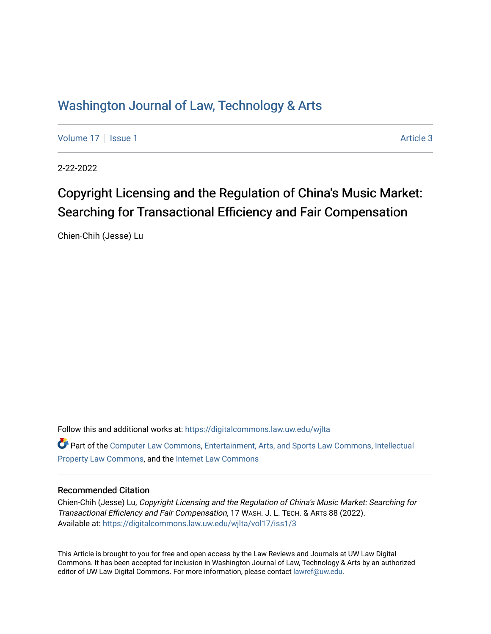# Washington Journal of Law, Technology & Arts

[Volume 17](https://digitalcommons.law.uw.edu/wjlta/vol17) | [Issue 1](https://digitalcommons.law.uw.edu/wjlta/vol17/iss1) Article 3

2-22-2022

# Copyright Licensing and the Regulation of China's Music Market: Searching for Transactional Efficiency and Fair Compensation

Chien-Chih (Jesse) Lu

Follow this and additional works at: [https://digitalcommons.law.uw.edu/wjlta](https://digitalcommons.law.uw.edu/wjlta?utm_source=digitalcommons.law.uw.edu%2Fwjlta%2Fvol17%2Fiss1%2F3&utm_medium=PDF&utm_campaign=PDFCoverPages)  Part of the [Computer Law Commons,](http://network.bepress.com/hgg/discipline/837?utm_source=digitalcommons.law.uw.edu%2Fwjlta%2Fvol17%2Fiss1%2F3&utm_medium=PDF&utm_campaign=PDFCoverPages) [Entertainment, Arts, and Sports Law Commons](http://network.bepress.com/hgg/discipline/893?utm_source=digitalcommons.law.uw.edu%2Fwjlta%2Fvol17%2Fiss1%2F3&utm_medium=PDF&utm_campaign=PDFCoverPages), [Intellectual](http://network.bepress.com/hgg/discipline/896?utm_source=digitalcommons.law.uw.edu%2Fwjlta%2Fvol17%2Fiss1%2F3&utm_medium=PDF&utm_campaign=PDFCoverPages) 

[Property Law Commons](http://network.bepress.com/hgg/discipline/896?utm_source=digitalcommons.law.uw.edu%2Fwjlta%2Fvol17%2Fiss1%2F3&utm_medium=PDF&utm_campaign=PDFCoverPages), and the [Internet Law Commons](http://network.bepress.com/hgg/discipline/892?utm_source=digitalcommons.law.uw.edu%2Fwjlta%2Fvol17%2Fiss1%2F3&utm_medium=PDF&utm_campaign=PDFCoverPages) 

### Recommended Citation

Chien-Chih (Jesse) Lu, Copyright Licensing and the Regulation of China's Music Market: Searching for Transactional Efficiency and Fair Compensation, 17 WASH. J. L. TECH. & ARTS 88 (2022). Available at: [https://digitalcommons.law.uw.edu/wjlta/vol17/iss1/3](https://digitalcommons.law.uw.edu/wjlta/vol17/iss1/3?utm_source=digitalcommons.law.uw.edu%2Fwjlta%2Fvol17%2Fiss1%2F3&utm_medium=PDF&utm_campaign=PDFCoverPages) 

This Article is brought to you for free and open access by the Law Reviews and Journals at UW Law Digital Commons. It has been accepted for inclusion in Washington Journal of Law, Technology & Arts by an authorized editor of UW Law Digital Commons. For more information, please contact [lawref@uw.edu](mailto:lawref@uw.edu).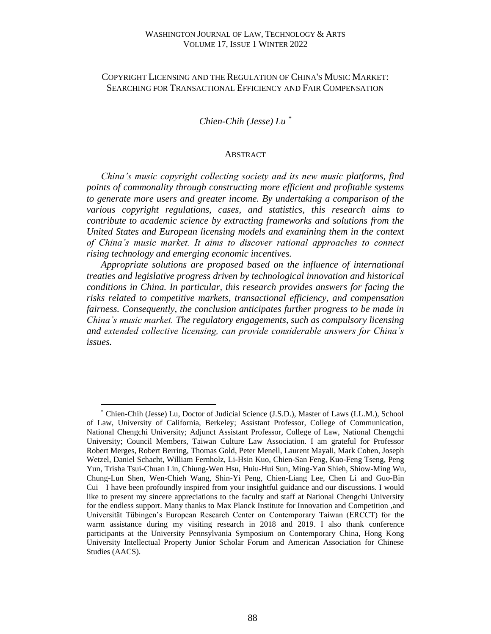#### WASHINGTON JOURNAL OF LAW, TECHNOLOGY & ARTS VOLUME 17, ISSUE 1 WINTER 2022

# COPYRIGHT LICENSING AND THE REGULATION OF CHINA'S MUSIC MARKET: SEARCHING FOR TRANSACTIONAL EFFICIENCY AND FAIR COMPENSATION

# *Chien-Chih (Jesse) Lu \**

#### **ABSTRACT**

*China's music copyright collecting society and its new music platforms, find points of commonality through constructing more efficient and profitable systems to generate more users and greater income. By undertaking a comparison of the various copyright regulations, cases, and statistics, this research aims to contribute to academic science by extracting frameworks and solutions from the United States and European licensing models and examining them in the context of China's music market. It aims to discover rational approaches to connect rising technology and emerging economic incentives.* 

*Appropriate solutions are proposed based on the influence of international treaties and legislative progress driven by technological innovation and historical conditions in China. In particular, this research provides answers for facing the risks related to competitive markets, transactional efficiency, and compensation fairness. Consequently, the conclusion anticipates further progress to be made in China's music market. The regulatory engagements, such as compulsory licensing and extended collective licensing, can provide considerable answers for China's issues.*

<sup>\*</sup> Chien-Chih (Jesse) Lu, Doctor of Judicial Science (J.S.D.), Master of Laws (LL.M.), School of Law, University of California, Berkeley; Assistant Professor, College of Communication, National Chengchi University; Adjunct Assistant Professor, College of Law, National Chengchi University; Council Members, Taiwan Culture Law Association. I am grateful for Professor Robert Merges, Robert Berring, Thomas Gold, Peter Menell, Laurent Mayali, Mark Cohen, Joseph Wetzel, Daniel Schacht, William Fernholz, Li-Hsin Kuo, Chien-San Feng, Kuo-Feng Tseng, Peng Yun, Trisha Tsui-Chuan Lin, Chiung-Wen Hsu, Huiu-Hui Sun, Ming-Yan Shieh, Shiow-Ming Wu, Chung-Lun Shen, Wen-Chieh Wang, Shin-Yi Peng, Chien-Liang Lee, Chen Li and Guo-Bin Cui—I have been profoundly inspired from your insightful guidance and our discussions. I would like to present my sincere appreciations to the faculty and staff at National Chengchi University for the endless support. Many thanks to Max Planck Institute for Innovation and Competition ,and Universität Tübingen's European Research Center on Contemporary Taiwan (ERCCT) for the warm assistance during my visiting research in 2018 and 2019. I also thank conference participants at the University Pennsylvania Symposium on Contemporary China, Hong Kong University Intellectual Property Junior Scholar Forum and American Association for Chinese Studies (AACS).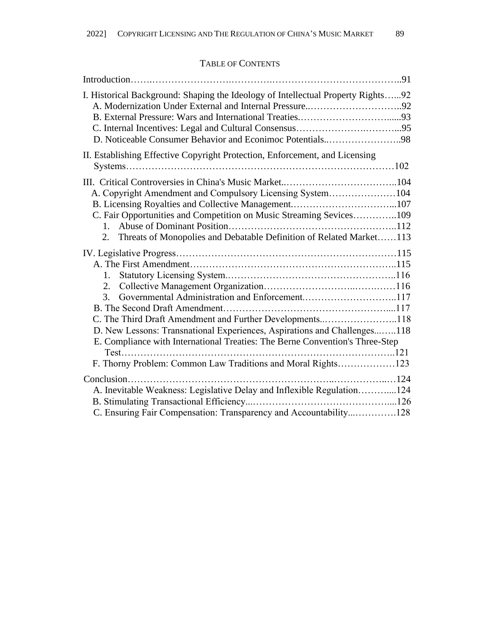# TABLE OF CONTENTS

| I. Historical Background: Shaping the Ideology of Intellectual Property Rights92 |  |
|----------------------------------------------------------------------------------|--|
|                                                                                  |  |
|                                                                                  |  |
| D. Noticeable Consumer Behavior and Econimoc Potentials98                        |  |
| II. Establishing Effective Copyright Protection, Enforcement, and Licensing      |  |
|                                                                                  |  |
|                                                                                  |  |
| A. Copyright Amendment and Compulsory Licensing System104                        |  |
|                                                                                  |  |
| C. Fair Opportunities and Competition on Music Streaming Sevices109              |  |
|                                                                                  |  |
| 2. Threats of Monopolies and Debatable Definition of Related Market113           |  |
|                                                                                  |  |
|                                                                                  |  |
| 1.                                                                               |  |
|                                                                                  |  |
| 3.                                                                               |  |
|                                                                                  |  |
| C. The Third Draft Amendment and Further Developments118                         |  |
| D. New Lessons: Transnational Experiences, Aspirations and Challenges118         |  |
| E. Compliance with International Treaties: The Berne Convention's Three-Step     |  |
|                                                                                  |  |
| F. Thorny Problem: Common Law Traditions and Moral Rights123                     |  |
|                                                                                  |  |
| A. Inevitable Weakness: Legislative Delay and Inflexible Regulation124           |  |
|                                                                                  |  |
| C. Ensuring Fair Compensation: Transparency and Accountability128                |  |
|                                                                                  |  |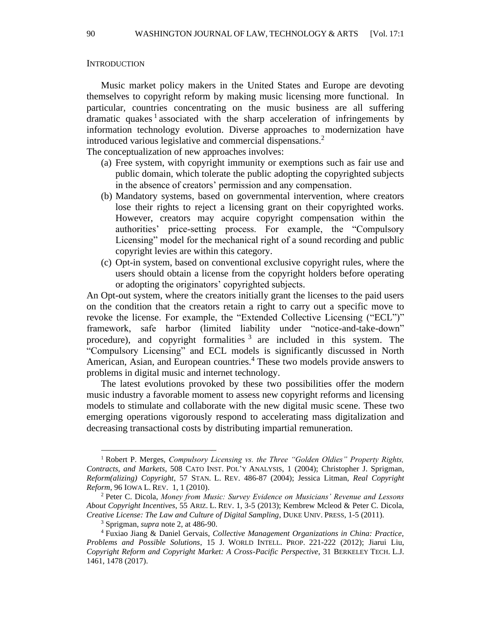#### **INTRODUCTION**

 Music market policy makers in the United States and Europe are devoting themselves to copyright reform by making music licensing more functional. In particular, countries concentrating on the music business are all suffering dramatic quakes<sup>1</sup> associated with the sharp acceleration of infringements by information technology evolution. Diverse approaches to modernization have introduced various legislative and commercial dispensations. 2

The conceptualization of new approaches involves:

- (a) Free system, with copyright immunity or exemptions such as fair use and public domain, which tolerate the public adopting the copyrighted subjects in the absence of creators' permission and any compensation.
- (b) Mandatory systems, based on governmental intervention, where creators lose their rights to reject a licensing grant on their copyrighted works. However, creators may acquire copyright compensation within the authorities' price-setting process. For example, the "Compulsory Licensing" model for the mechanical right of a sound recording and public copyright levies are within this category.
- (c) Opt-in system, based on conventional exclusive copyright rules, where the users should obtain a license from the copyright holders before operating or adopting the originators' copyrighted subjects.

An Opt-out system, where the creators initially grant the licenses to the paid users on the condition that the creators retain a right to carry out a specific move to revoke the license. For example, the "Extended Collective Licensing ("ECL")" framework, safe harbor (limited liability under "notice-and-take-down" procedure), and copyright formalities  $3$  are included in this system. The "Compulsory Licensing" and ECL models is significantly discussed in North American, Asian, and European countries.<sup>4</sup> These two models provide answers to problems in digital music and internet technology.

 The latest evolutions provoked by these two possibilities offer the modern music industry a favorable moment to assess new copyright reforms and licensing models to stimulate and collaborate with the new digital music scene. These two emerging operations vigorously respond to accelerating mass digitalization and decreasing transactional costs by distributing impartial remuneration.

<sup>1</sup> Robert P. Merges, *Compulsory Licensing vs. the Three "Golden Oldies" Property Rights, Contracts, and Markets*, 508 CATO INST. POL'Y ANALYSIS, 1 (2004); Christopher J. Sprigman, *Reform(alizing) Copyright*, 57 STAN. L. REV. 486-87 (2004); Jessica Litman, *Real Copyright Reform*, 96 IOWA L. REV. 1, 1 (2010).

<sup>2</sup> Peter C. Dicola, *Money from Music: Survey Evidence on Musicians' Revenue and Lessons About Copyright Incentives*, 55 ARIZ. L. REV. 1, 3-5 (2013); Kembrew Mcleod & Peter C. Dicola, *Creative License: The Law and Culture of Digital Sampling*, DUKE UNIV. PRESS, 1-5 (2011).

<sup>3</sup> Sprigman, *supra* note 2, at 486-90.

<sup>4</sup> Fuxiao Jiang & Daniel Gervais, *Collective Management Organizations in China: Practice, Problems and Possible Solutions*, 15 J. WORLD INTELL. PROP. 221-222 (2012); Jiarui Liu, *Copyright Reform and Copyright Market: A Cross-Pacific Perspective*, 31 BERKELEY TECH. L.J. 1461, 1478 (2017).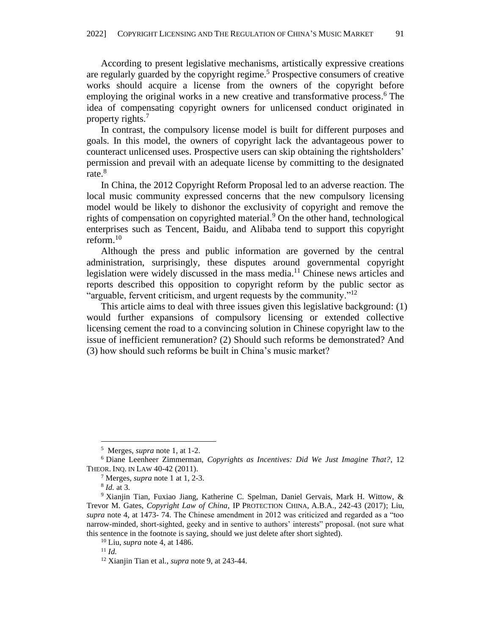According to present legislative mechanisms, artistically expressive creations are regularly guarded by the copyright regime. <sup>5</sup> Prospective consumers of creative works should acquire a license from the owners of the copyright before employing the original works in a new creative and transformative process.<sup>6</sup> The idea of compensating copyright owners for unlicensed conduct originated in property rights.<sup>7</sup>

 In contrast, the compulsory license model is built for different purposes and goals. In this model, the owners of copyright lack the advantageous power to counteract unlicensed uses. Prospective users can skip obtaining the rightsholders' permission and prevail with an adequate license by committing to the designated rate. 8

 In China, the 2012 Copyright Reform Proposal led to an adverse reaction. The local music community expressed concerns that the new compulsory licensing model would be likely to dishonor the exclusivity of copyright and remove the rights of compensation on copyrighted material. <sup>9</sup> On the other hand, technological enterprises such as Tencent, Baidu, and Alibaba tend to support this copyright reform. 10

 Although the press and public information are governed by the central administration, surprisingly, these disputes around governmental copyright legislation were widely discussed in the mass media.<sup>11</sup> Chinese news articles and reports described this opposition to copyright reform by the public sector as "arguable, fervent criticism, and urgent requests by the community."<sup>12</sup>

 This article aims to deal with three issues given this legislative background: (1) would further expansions of compulsory licensing or extended collective licensing cement the road to a convincing solution in Chinese copyright law to the issue of inefficient remuneration? (2) Should such reforms be demonstrated? And (3) how should such reforms be built in China's music market?

<sup>5</sup> Merges, *supra* note 1, at 1-2.

<sup>6</sup> Diane Leenheer Zimmerman, *Copyrights as Incentives: Did We Just Imagine That?*, 12 THEOR. INQ. IN LAW 40-42 (2011).

<sup>7</sup> Merges, *supra* note 1 at 1, 2-3.

<sup>8</sup> *Id.* at 3.

<sup>9</sup> Xianjin Tian, Fuxiao Jiang, Katherine C. Spelman, Daniel Gervais, Mark H. Wittow, & Trevor M. Gates, *Copyright Law of China,* IP PROTECTION CHINA, A.B.A., 242-43 (2017); Liu, *supra* note 4, at 1473- 74. The Chinese amendment in 2012 was criticized and regarded as a "too narrow-minded, short-sighted, geeky and in sentive to authors' interests" proposal. (not sure what this sentence in the footnote is saying, should we just delete after short sighted).

<sup>10</sup> Liu, *supra* note 4, at 1486.

<sup>11</sup> *Id.*

<sup>12</sup> Xianjin Tian et al., *supra* note 9, at 243-44.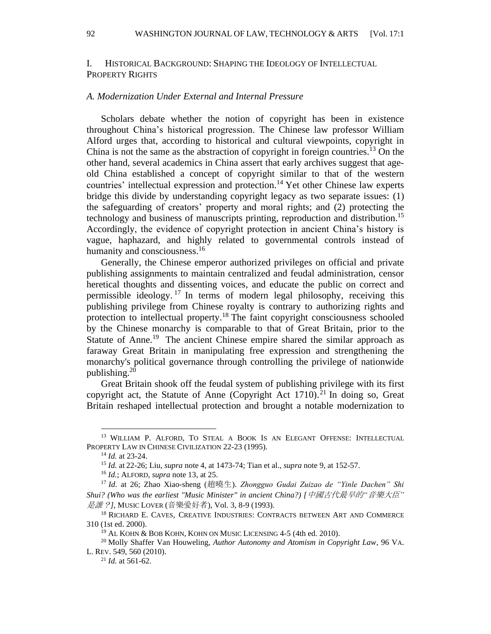# I. HISTORICAL BACKGROUND: SHAPING THE IDEOLOGY OF INTELLECTUAL PROPERTY RIGHTS

# *A. Modernization Under External and Internal Pressure*

 Scholars debate whether the notion of copyright has been in existence throughout China's historical progression. The Chinese law professor William Alford urges that, according to historical and cultural viewpoints, copyright in China is not the same as the abstraction of copyright in foreign countries.<sup>13</sup> On the other hand, several academics in China assert that early archives suggest that ageold China established a concept of copyright similar to that of the western countries' intellectual expression and protection. <sup>14</sup> Yet other Chinese law experts bridge this divide by understanding copyright legacy as two separate issues: (1) the safeguarding of creators' property and moral rights; and (2) protecting the technology and business of manuscripts printing, reproduction and distribution. 15 Accordingly, the evidence of copyright protection in ancient China's history is vague, haphazard, and highly related to governmental controls instead of humanity and consciousness.<sup>16</sup>

 Generally, the Chinese emperor authorized privileges on official and private publishing assignments to maintain centralized and feudal administration, censor heretical thoughts and dissenting voices, and educate the public on correct and permissible ideology. <sup>17</sup> In terms of modern legal philosophy, receiving this publishing privilege from Chinese royalty is contrary to authorizing rights and protection to intellectual property.<sup>18</sup> The faint copyright consciousness schooled by the Chinese monarchy is comparable to that of Great Britain, prior to the Statute of Anne.<sup>19</sup> The ancient Chinese empire shared the similar approach as faraway Great Britain in manipulating free expression and strengthening the monarchy's political governance through controlling the privilege of nationwide publishing.<sup>20</sup>

 Great Britain shook off the feudal system of publishing privilege with its first copyright act, the Statute of Anne (Copyright Act 1710).<sup>21</sup> In doing so, Great Britain reshaped intellectual protection and brought a notable modernization to

<sup>&</sup>lt;sup>13</sup> WILLIAM P. ALFORD, TO STEAL A BOOK IS AN ELEGANT OFFENSE: INTELLECTUAL PROPERTY LAW IN CHINESE CIVILIZATION 22-23 (1995).

<sup>14</sup> *Id.* at 23-24.

<sup>15</sup> *Id.* at 22-26; Liu, *supra* note 4, at 1473-74; Tian et al., *supra* note 9, at 152-57.

<sup>16</sup> *Id.*; ALFORD, *supra* note 13, at 25.

<sup>17</sup> *Id.* at 26; Zhao Xiao-sheng (趙曉生). *Zhongguo Gudai Zuizao de "Yinle Dachen" Shi Shui? (Who was the earliest "Music Minister" in ancient China?) [*中國古代最早的*"*音樂大臣*"* 是誰?*]*, MUSIC LOVER (音樂愛好者), Vol. 3, 8-9 (1993).

<sup>&</sup>lt;sup>18</sup> RICHARD E. CAVES, CREATIVE INDUSTRIES: CONTRACTS BETWEEN ART AND COMMERCE 310 (1st ed. 2000).

<sup>19</sup> AL KOHN & BOB KOHN, KOHN ON MUSIC LICENSING 4-5 (4th ed. 2010).

<sup>20</sup> Molly Shaffer Van Houweling, *Author Autonomy and Atomism in Copyright Law*, 96 VA. L. REV. 549, 560 (2010).

 $^{21}$  *Id.* at 561-62.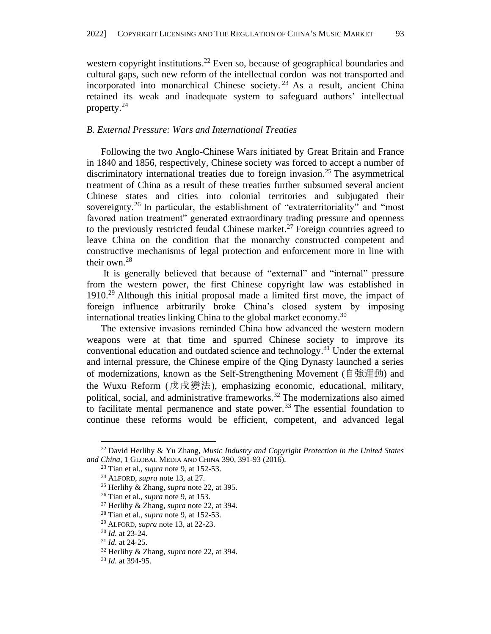western copyright institutions.<sup>22</sup> Even so, because of geographical boundaries and cultural gaps, such new reform of the intellectual cordon was not transported and incorporated into monarchical Chinese society. <sup>23</sup> As a result, ancient China retained its weak and inadequate system to safeguard authors' intellectual property. 24

# *B. External Pressure: Wars and International Treaties*

 Following the two Anglo-Chinese Wars initiated by Great Britain and France in 1840 and 1856, respectively, Chinese society was forced to accept a number of discriminatory international treaties due to foreign invasion. <sup>25</sup> The asymmetrical treatment of China as a result of these treaties further subsumed several ancient Chinese states and cities into colonial territories and subjugated their sovereignty.<sup>26</sup> In particular, the establishment of "extraterritoriality" and "most favored nation treatment" generated extraordinary trading pressure and openness to the previously restricted feudal Chinese market. <sup>27</sup> Foreign countries agreed to leave China on the condition that the monarchy constructed competent and constructive mechanisms of legal protection and enforcement more in line with their own.<sup>28</sup>

 It is generally believed that because of "external" and "internal" pressure from the western power, the first Chinese copyright law was established in 1910. <sup>29</sup> Although this initial proposal made a limited first move, the impact of foreign influence arbitrarily broke China's closed system by imposing international treaties linking China to the global market economy.<sup>30</sup>

 The extensive invasions reminded China how advanced the western modern weapons were at that time and spurred Chinese society to improve its conventional education and outdated science and technology. <sup>31</sup> Under the external and internal pressure, the Chinese empire of the Qing Dynasty launched a series of modernizations, known as the Self-Strengthening Movement (自強運動) and the Wuxu Reform (戊戌變法), emphasizing economic, educational, military, political, social, and administrative frameworks. <sup>32</sup> The modernizations also aimed to facilitate mental permanence and state power. <sup>33</sup> The essential foundation to continue these reforms would be efficient, competent, and advanced legal

<sup>22</sup> David Herlihy & Yu Zhang, *Music Industry and Copyright Protection in the United States and China*, 1 GLOBAL MEDIA AND CHINA 390, 391-93 (2016).

<sup>23</sup> Tian et al., *supra* note 9, at 152-53.

<sup>24</sup> ALFORD, *supra* note 13, at 27.

<sup>25</sup> Herlihy & Zhang, *supra* note 22, at 395.

<sup>26</sup> Tian et al., *supra* note 9, at 153.

<sup>27</sup> Herlihy & Zhang, *supra* note 22, at 394.

<sup>28</sup> Tian et al., *supra* note 9, at 152-53.

<sup>29</sup> ALFORD, *supra* note 13, at 22-23.

<sup>30</sup> *Id.* at 23-24.

<sup>31</sup> *Id.* at 24-25.

<sup>32</sup> Herlihy & Zhang, *supra* note 22, at 394.

<sup>33</sup> *Id.* at 394-95.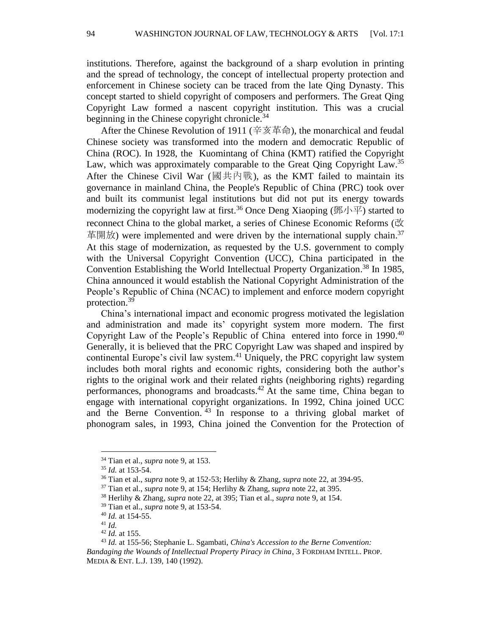institutions. Therefore, against the background of a sharp evolution in printing and the spread of technology, the concept of intellectual property protection and enforcement in Chinese society can be traced from the late Qing Dynasty. This concept started to shield copyright of composers and performers. The Great Qing Copyright Law formed a nascent copyright institution. This was a crucial beginning in the Chinese copyright chronicle.<sup>34</sup>

 After the Chinese Revolution of 1911 (辛亥革命), the monarchical and feudal Chinese society was transformed into the modern and democratic Republic of China (ROC). In 1928, the Kuomintang of China (KMT) ratified the Copyright Law, which was approximately comparable to the Great Qing Copyright Law.<sup>35</sup> After the Chinese Civil War (國共內戰), as the KMT failed to maintain its governance in mainland China, the People's Republic of China (PRC) took over and built its communist legal institutions but did not put its energy towards modernizing the copyright law at first.<sup>36</sup> Once Deng Xiaoping (鄧小平) started to reconnect China to the global market, a series of Chinese Economic Reforms (改 革開放) were implemented and were driven by the international supply chain.<sup>37</sup> At this stage of modernization, as requested by the U.S. government to comply with the Universal Copyright Convention (UCC), China participated in the Convention Establishing the World Intellectual Property Organization. <sup>38</sup> In 1985, China announced it would establish the National Copyright Administration of the People's Republic of China (NCAC) to implement and enforce modern copyright protection. 39

 China's international impact and economic progress motivated the legislation and administration and made its' copyright system more modern. The first Copyright Law of the People's Republic of China entered into force in 1990. 40 Generally, it is believed that the PRC Copyright Law was shaped and inspired by continental Europe's civil law system.<sup>41</sup> Uniquely, the PRC copyright law system includes both moral rights and economic rights, considering both the author's rights to the original work and their related rights (neighboring rights) regarding performances, phonograms and broadcasts.<sup>42</sup> At the same time, China began to engage with international copyright organizations. In 1992, China joined UCC and the Berne Convention.<sup>43</sup> In response to a thriving global market of phonogram sales, in 1993, China joined the Convention for the Protection of

<sup>34</sup> Tian et al., *supra* note 9, at 153.

<sup>35</sup> *Id.* at 153-54.

<sup>36</sup> Tian et al., *supra* note 9, at 152-53; Herlihy & Zhang, *supra* note 22, at 394-95.

<sup>37</sup> Tian et al., *supra* note 9, at 154; Herlihy & Zhang, *supra* note 22, at 395.

<sup>38</sup> Herlihy & Zhang, *supra* note 22, at 395; Tian et al., *supra* note 9, at 154.

<sup>39</sup> Tian et al., *supra* note 9, at 153-54.

<sup>40</sup> *Id.* at 154-55.

<sup>41</sup> *Id.*

<sup>42</sup> *Id.* at 155.

<sup>43</sup> *Id.* at 155-56; Stephanie L. Sgambati, *China's Accession to the Berne Convention: Bandaging the Wounds of Intellectual Property Piracy in China*, 3 FORDHAM INTELL. PROP. MEDIA & ENT. L.J. 139, 140 (1992).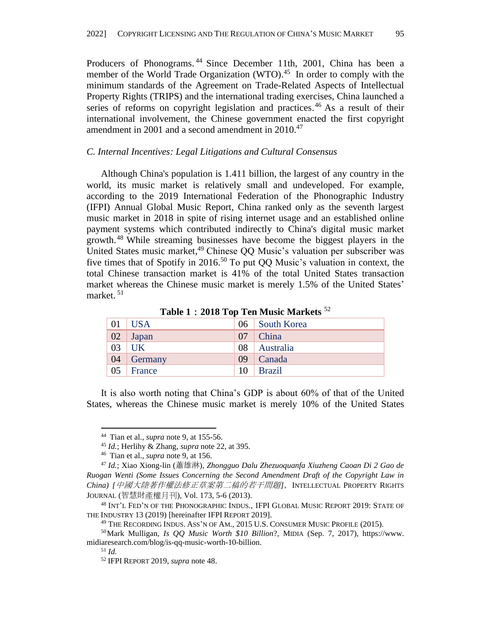Producers of Phonograms. <sup>44</sup> Since December 11th, 2001, China has been a member of the World Trade Organization (WTO).<sup>45</sup> In order to comply with the minimum standards of the Agreement on Trade-Related Aspects of Intellectual Property Rights (TRIPS) and the international trading exercises, China launched a series of reforms on copyright legislation and practices.<sup>46</sup> As a result of their international involvement, the Chinese government enacted the first copyright amendment in 2001 and a second amendment in 2010.<sup>47</sup>

# *C. Internal Incentives: Legal Litigations and Cultural Consensus*

 Although China's population is 1.411 billion, the largest of any country in the world, its music market is relatively small and undeveloped. For example, according to the 2019 International Federation of the Phonographic Industry (IFPI) Annual Global Music Report, China ranked only as the seventh largest music market in 2018 in spite of rising internet usage and an established online payment systems which contributed indirectly to China's digital music market growth. <sup>48</sup> While streaming businesses have become the biggest players in the United States music market,<sup>49</sup> Chinese QQ Music's valuation per subscriber was five times that of Spotify in 2016. <sup>50</sup> To put QQ Music's valuation in context, the total Chinese transaction market is 41% of the total United States transaction market whereas the Chinese music market is merely 1.5% of the United States' market. 51

| 01 | <b>USA</b> | 06 | South Korea   |  |
|----|------------|----|---------------|--|
| 02 | Japan      | 07 | China         |  |
| 03 | UK         | 08 | Australia     |  |
| 04 | Germany    | 09 | Canada        |  |
| 05 | France     | 10 | <b>Brazil</b> |  |

**Table 1**:**2018 Top Ten Music Markets** <sup>52</sup>

 It is also worth noting that China's GDP is about 60% of that of the United States, whereas the Chinese music market is merely 10% of the United States

<sup>44</sup> Tian et al., *supra* note 9, at 155-56.

<sup>45</sup> *Id.*; Herlihy & Zhang, *supra* note 22, at 395.

<sup>46</sup> Tian et al., *supra* note 9, at 156.

<sup>47</sup> *Id.*; Xiao Xiong-lin (蕭雄淋), *Zhongguo Dalu Zhezuoquanfa Xiuzheng Caoan Di 2 Gao de Ruogan Wenti (Some Issues Concerning the Second Amendment Draft of the Copyright Law in China) [*中國大陸著作權法修正草案第二稿的若干問題*]*,INTELLECTUAL PROPERTY RIGHTS JOURNAL (智慧財產權月刊), Vol. 173, 5-6 (2013).

<sup>48</sup> INT'L FED'N OF THE PHONOGRAPHIC INDUS., IFPI GLOBAL MUSIC REPORT 2019: STATE OF THE INDUSTRY 13 (2019) [hereinafter IFPI REPORT 2019].

<sup>&</sup>lt;sup>49</sup> THE RECORDING INDUS. ASS'N OF AM., 2015 U.S. CONSUMER MUSIC PROFILE (2015).

<sup>50</sup>Mark Mulligan, *Is QQ Music Worth \$10 Billion*?*,* MIDIA (Sep. 7, 2017), https://www. midiaresearch.com/blog/is-qq-music-worth-10-billion.

<sup>51</sup> *Id.*

<sup>52</sup> IFPI REPORT 2019, *supra* note 48.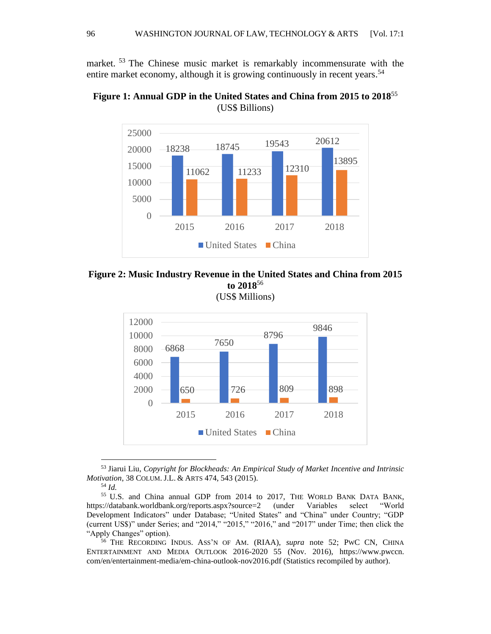market. <sup>53</sup> The Chinese music market is remarkably incommensurate with the entire market economy, although it is growing continuously in recent years.<sup>54</sup>





**Figure 2: Music Industry Revenue in the United States and China from 2015 to 2018**<sup>56</sup> (US\$ Millions)



 Jiarui Liu, *Copyright for Blockheads: An Empirical Study of Market Incentive and Intrinsic Motivation*, 38 COLUM. J.L. & ARTS 474, 543 (2015).

*Id.* 

 U.S. and China annual GDP from 2014 to 2017, THE WORLD BANK DATA BANK, https://databank.worldbank.org/reports.aspx?source=2 (under Variables select "World Development Indicators" under Database; "United States" and "China" under Country; "GDP (current US\$)" under Series; and "2014," "2015," "2016," and "2017" under Time; then click the "Apply Changes" option).

 THE RECORDING INDUS. ASS'N OF AM. (RIAA), *supra* note 52; PWC CN, CHINA ENTERTAINMENT AND MEDIA OUTLOOK 2016-2020 55 (Nov. 2016), https://www.pwccn. com/en/entertainment-media/em-china-outlook-nov2016.pdf (Statistics recompiled by author).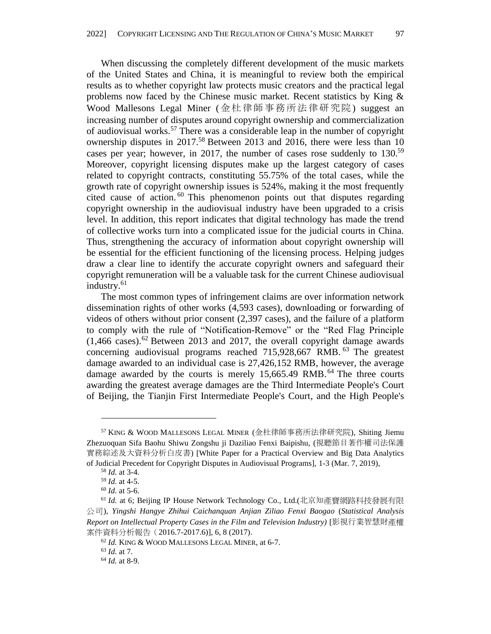When discussing the completely different development of the music markets of the United States and China, it is meaningful to review both the empirical results as to whether copyright law protects music creators and the practical legal problems now faced by the Chinese music market. Recent statistics by King  $\&$ Wood Mallesons Legal Miner (金杜律師事務所法律研究院) suggest an increasing number of disputes around copyright ownership and commercialization of audiovisual works. <sup>57</sup> There was a considerable leap in the number of copyright ownership disputes in 2017. <sup>58</sup> Between 2013 and 2016, there were less than 10 cases per year; however, in 2017, the number of cases rose suddenly to 130.<sup>59</sup> Moreover, copyright licensing disputes make up the largest category of cases related to copyright contracts, constituting 55.75% of the total cases, while the growth rate of copyright ownership issues is 524%, making it the most frequently cited cause of action. <sup>60</sup> This phenomenon points out that disputes regarding copyright ownership in the audiovisual industry have been upgraded to a crisis level. In addition, this report indicates that digital technology has made the trend of collective works turn into a complicated issue for the judicial courts in China. Thus, strengthening the accuracy of information about copyright ownership will be essential for the efficient functioning of the licensing process. Helping judges draw a clear line to identify the accurate copyright owners and safeguard their copyright remuneration will be a valuable task for the current Chinese audiovisual industry. 61

 The most common types of infringement claims are over information network dissemination rights of other works (4,593 cases), downloading or forwarding of videos of others without prior consent (2,397 cases), and the failure of a platform to comply with the rule of "Notification-Remove" or the "Red Flag Principle  $(1,466 \text{ cases})$ .<sup>62</sup> Between 2013 and 2017, the overall copyright damage awards concerning audiovisual programs reached 715,928,667 RMB. <sup>63</sup> The greatest damage awarded to an individual case is 27,426,152 RMB, however, the average damage awarded by the courts is merely 15,665.49 RMB.<sup>64</sup> The three courts awarding the greatest average damages are the Third Intermediate People's Court of Beijing, the Tianjin First Intermediate People's Court, and the High People's

<sup>57</sup> KING & WOOD MALLESONS LEGAL MINER (金杜律師事務所法律研究院), Shiting Jiemu Zhezuoquan Sifa Baohu Shiwu Zongshu ji Daziliao Fenxi Baipishu, (視聽節目著作權司法保護 實務綜述及大資料分析白皮書) [White Paper for a Practical Overview and Big Data Analytics of Judicial Precedent for Copyright Disputes in Audiovisual Programs], 1-3 (Mar. 7, 2019),

<sup>58</sup> *Id.* at 3-4.

<sup>59</sup> *Id.* at 4-5.

<sup>60</sup> *Id.* at 5-6.

<sup>61</sup> *Id.* at 6; Beijing IP House Network Technology Co., Ltd.(北京知產寶網路科技發展有限 公司), *Yingshi Hangye Zhihui Caichanquan Anjian Ziliao Fenxi Baogao* (*Statistical Analysis Report on Intellectual Property Cases in the Film and Television Industry)* [影視行業智慧財產權 案件資料分析報告(2016.7-2017.6)], 6, 8 (2017).

<sup>62</sup> *Id.* KING & WOOD MALLESONS LEGAL MINER, at 6-7. <sup>63</sup> *Id.* at 7.

<sup>64</sup> *Id.* at 8-9.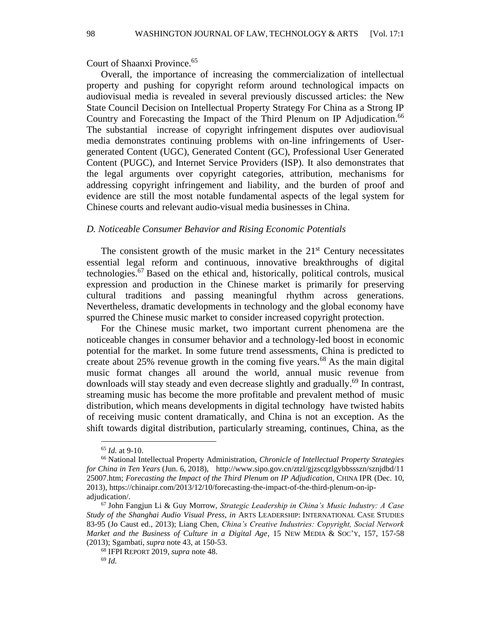Court of Shaanxi Province. 65

 Overall, the importance of increasing the commercialization of intellectual property and pushing for copyright reform around technological impacts on audiovisual media is revealed in several previously discussed articles: the New State Council Decision on Intellectual Property Strategy For China as a Strong IP Country and Forecasting the Impact of the Third Plenum on IP Adjudication. 66 The substantial increase of copyright infringement disputes over audiovisual media demonstrates continuing problems with on-line infringements of Usergenerated Content (UGC), Generated Content (GC), Professional User Generated Content (PUGC), and Internet Service Providers (ISP). It also demonstrates that the legal arguments over copyright categories, attribution, mechanisms for addressing copyright infringement and liability, and the burden of proof and evidence are still the most notable fundamental aspects of the legal system for Chinese courts and relevant audio-visual media businesses in China.

#### *D. Noticeable Consumer Behavior and Rising Economic Potentials*

The consistent growth of the music market in the  $21<sup>st</sup>$  Century necessitates essential legal reform and continuous, innovative breakthroughs of digital technologies. <sup>67</sup> Based on the ethical and, historically, political controls, musical expression and production in the Chinese market is primarily for preserving cultural traditions and passing meaningful rhythm across generations. Nevertheless, dramatic developments in technology and the global economy have spurred the Chinese music market to consider increased copyright protection.

 For the Chinese music market, two important current phenomena are the noticeable changes in consumer behavior and a technology-led boost in economic potential for the market. In some future trend assessments, China is predicted to create about 25% revenue growth in the coming five years.<sup>68</sup> As the main digital music format changes all around the world, annual music revenue from downloads will stay steady and even decrease slightly and gradually.<sup>69</sup> In contrast, streaming music has become the more profitable and prevalent method of music distribution, which means developments in digital technology have twisted habits of receiving music content dramatically, and China is not an exception. As the shift towards digital distribution, particularly streaming, continues, China, as the

<sup>65</sup> *Id.* at 9-10.

<sup>66</sup> National Intellectual Property Administration, *Chronicle of Intellectual Property Strategies for China in Ten Years* (Jun. 6, 2018), http://www.sipo.gov.cn/ztzl/gjzscqzlgybbssszn/sznjdbd/11 25007.htm; *Forecasting the Impact of the Third Plenum on IP Adjudication*, CHINA IPR (Dec. 10, 2013), https://chinaipr.com/2013/12/10/forecasting-the-impact-of-the-third-plenum-on-ipadjudication/.

<sup>67</sup> John Fangjun Li & Guy Morrow, *Strategic Leadership in China's Music Industry: A Case Study of the Shanghai Audio Visual Press*, *in* ARTS LEADERSHIP: INTERNATIONAL CASE STUDIES 83-95 (Jo Caust ed., 2013); Liang Chen, *China's Creative Industries: Copyright, Social Network Market and the Business of Culture in a Digital Age*, 15 NEW MEDIA & SOC'Y, 157, 157-58 (2013); Sgambati, *supra* note 43, at 150-53.

<sup>68</sup> IFPI REPORT 2019, *supra* note 48.

<sup>69</sup> *Id.*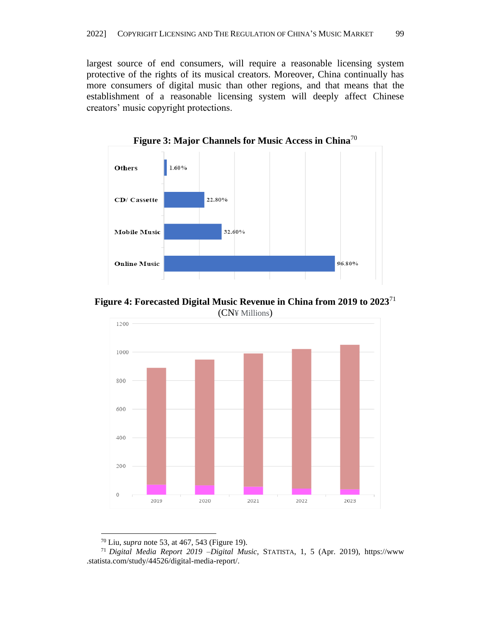largest source of end consumers, will require a reasonable licensing system protective of the rights of its musical creators. Moreover, China continually has more consumers of digital music than other regions, and that means that the establishment of a reasonable licensing system will deeply affect Chinese creators' music copyright protections.



**Figure 3: Major Channels for Music Access in China**<sup>70</sup>





<sup>70</sup> Liu, *supra* note 53, at 467, 543 (Figure 19).

<sup>71</sup> *Digital Media Report 2019 –Digital Music*, STATISTA, 1, 5 (Apr. 2019), https://www .statista.com/study/44526/digital-media-report/.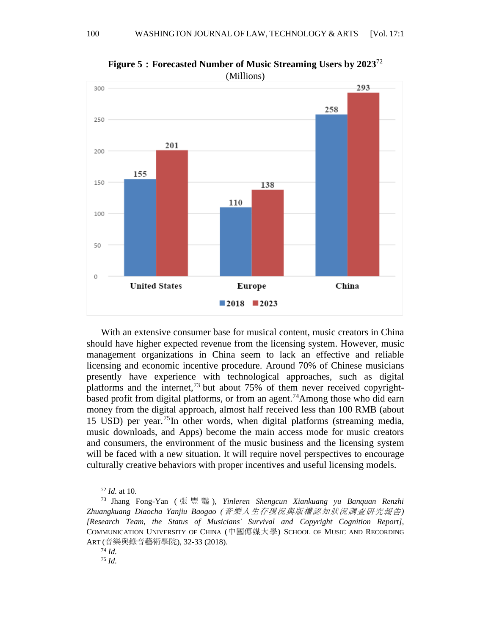

**Figure 5**:**Forecasted Number of Music Streaming Users by 2023**<sup>72</sup> (Millions)

 With an extensive consumer base for musical content, music creators in China should have higher expected revenue from the licensing system. However, music management organizations in China seem to lack an effective and reliable licensing and economic incentive procedure. Around 70% of Chinese musicians presently have experience with technological approaches, such as digital platforms and the internet,<sup>73</sup> but about 75% of them never received copyrightbased profit from digital platforms, or from an agent.<sup>74</sup>Among those who did earn money from the digital approach, almost half received less than 100 RMB (about 15 USD) per year. <sup>75</sup>In other words, when digital platforms (streaming media, music downloads, and Apps) become the main access mode for music creators and consumers, the environment of the music business and the licensing system will be faced with a new situation. It will require novel perspectives to encourage culturally creative behaviors with proper incentives and useful licensing models.

<sup>72</sup> *Id.* at 10.

<sup>73</sup> Jhang Fong-Yan ( 張豐豔 ), *Yinleren Shengcun Xiankuang yu Banquan Renzhi Zhuangkuang Diaocha Yanjiu Baogao (*音樂人生存現況與版權認知狀況調查研究報告*) [Research Team, the Status of Musicians' Survival and Copyright Cognition Report]*, COMMUNICATION UNIVERSITY OF CHINA (中國傳媒大學) SCHOOL OF MUSIC AND RECORDING ART (音樂與錄音藝術學院), 32-33 (2018).

<sup>74</sup> *Id.*

<sup>75</sup> *Id.*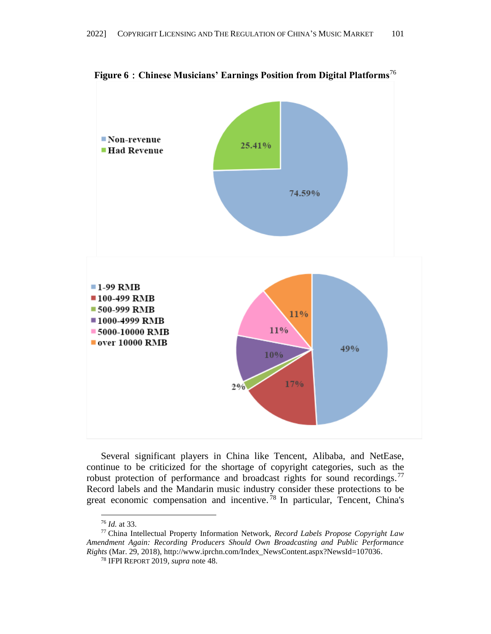

**Figure 6**:**Chinese Musicians' Earnings Position from Digital Platforms**<sup>76</sup>

 Several significant players in China like Tencent, Alibaba, and NetEase, continue to be criticized for the shortage of copyright categories, such as the robust protection of performance and broadcast rights for sound recordings.<sup>77</sup> Record labels and the Mandarin music industry consider these protections to be great economic compensation and incentive.<sup>78</sup> In particular, Tencent, China's

<sup>76</sup> *Id.* at 33.

<sup>77</sup> China Intellectual Property Information Network, *Record Labels Propose Copyright Law Amendment Again: Recording Producers Should Own Broadcasting and Public Performance Rights* (Mar. 29, 2018), [http://www.iprchn.com/Index\\_NewsContent.aspx?NewsId=107036.](http://www.iprchn.com/Index_NewsContent.aspx?NewsId=107036)

<sup>78</sup> IFPI REPORT 2019, *supra* note 48.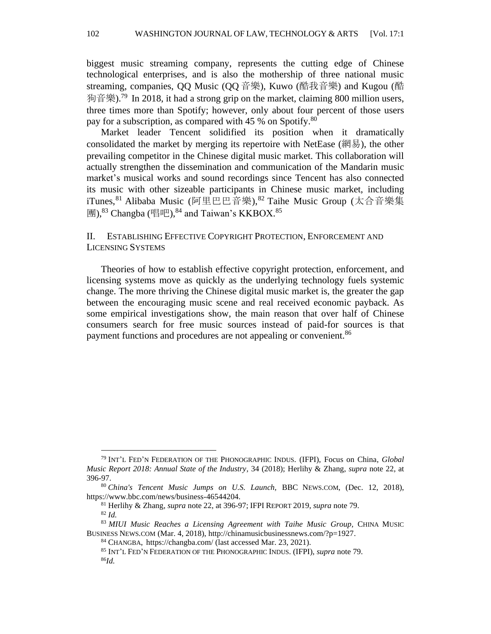biggest music streaming company, represents the cutting edge of Chinese technological enterprises, and is also the mothership of three national music streaming, companies, QQ Music (QQ 音樂), Kuwo (酷我音樂) and Kugou (酷 狗音樂).<sup>79</sup> In 2018, it had a strong grip on the market, claiming 800 million users, three times more than Spotify; however, only about four percent of those users pay for a subscription, as compared with 45 % on Spotify.<sup>80</sup>

 Market leader Tencent solidified its position when it dramatically consolidated the market by merging its repertoire with NetEase (網易), the other prevailing competitor in the Chinese digital music market. This collaboration will actually strengthen the dissemination and communication of the Mandarin music market's musical works and sound recordings since Tencent has also connected its music with other sizeable participants in Chinese music market, including iTunes,<sup>81</sup> Alibaba Music (阿里巴巴音樂),<sup>82</sup> Taihe Music Group (太合音樂集 團), <sup>83</sup> Changba (唱吧), <sup>84</sup> and Taiwan's KKBOX. 85

II. ESTABLISHING EFFECTIVE COPYRIGHT PROTECTION, ENFORCEMENT AND LICENSING SYSTEMS

 Theories of how to establish effective copyright protection, enforcement, and licensing systems move as quickly as the underlying technology fuels systemic change. The more thriving the Chinese digital music market is, the greater the gap between the encouraging music scene and real received economic payback. As some empirical investigations show, the main reason that over half of Chinese consumers search for free music sources instead of paid-for sources is that payment functions and procedures are not appealing or convenient.<sup>86</sup>

<sup>79</sup> INT'L FED'N FEDERATION OF THE PHONOGRAPHIC INDUS. (IFPI), Focus on China, *Global Music Report 2018: Annual State of the Industry,* 34 (2018); Herlihy & Zhang, *supra* note 22, at 396-97.

<sup>80</sup> *China's Tencent Music Jumps on U.S. Launch,* BBC NEWS.COM, (Dec. 12, 2018), [https://www.bbc.com/news/business-46544204.](https://www.bbc.com/news/business-46544204)

<sup>81</sup> Herlihy & Zhang, *supra* note 22, at 396-97; IFPI REPORT 2019, *supra* note 79. <sup>82</sup> *Id.*

<sup>83</sup> MIUI Music Reaches a Licensing Agreement with Taihe Music Group, CHINA MUSIC BUSINESS NEWS.COM (Mar. 4, 2018), [http://chinamusicbusinessnews.com/?p=1927.](http://chinamusicbusinessnews.com/?p=1927)

<sup>84</sup> CHANGBA, <https://changba.com/> (last accessed Mar. 23, 2021).

<sup>85</sup> INT'L FED'N FEDERATION OF THE PHONOGRAPHIC INDUS. (IFPI), *supra* note 79. 86*Id.*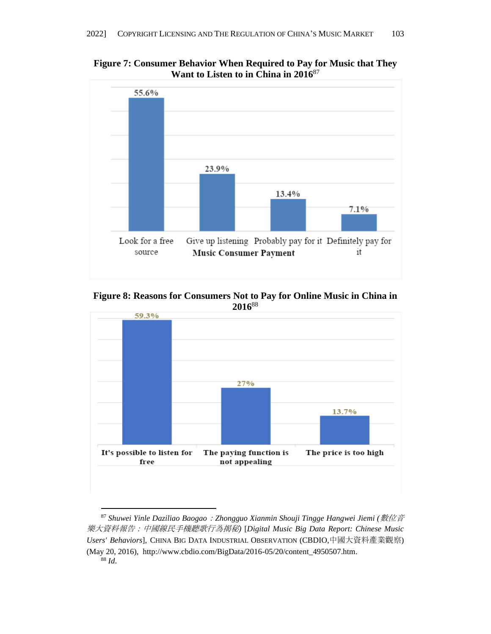

**Figure 7: Consumer Behavior When Required to Pay for Music that They Want to Listen to in China in 2016**<sup>87</sup>

**Figure 8: Reasons for Consumers Not to Pay for Online Music in China in 2016**<sup>88</sup>



<sup>87</sup> *Shuwei Yinle Daziliao Baogao*:*Zhongguo Xianmin Shouji Tingge Hangwei Jiemi (*數位音 樂大資料報告:中國線民手機聽歌行為揭秘*)* [*Digital Music Big Data Report: Chinese Music Users' Behaviors*], CHINA BIG DATA INDUSTRIAL OBSERVATION (CBDIO,中國大資料產業觀察) (May 20, 2016), http://www.cbdio.com/BigData/2016-05/20/content\_4950507.htm. <sup>88</sup> *Id*.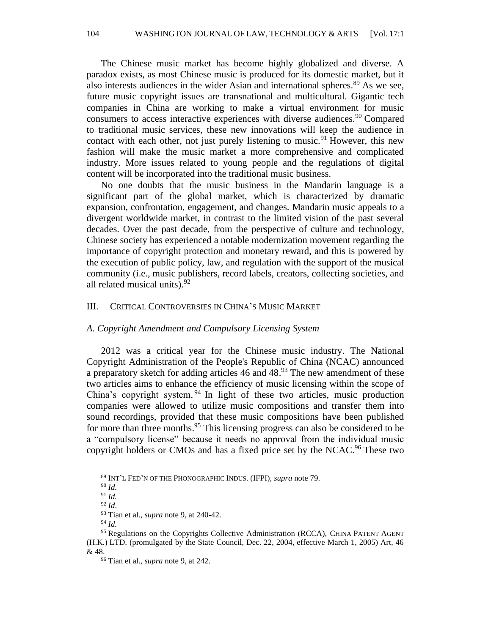The Chinese music market has become highly globalized and diverse. A paradox exists, as most Chinese music is produced for its domestic market, but it also interests audiences in the wider Asian and international spheres.<sup>89</sup> As we see, future music copyright issues are transnational and multicultural. Gigantic tech companies in China are working to make a virtual environment for music consumers to access interactive experiences with diverse audiences.<sup>90</sup> Compared to traditional music services, these new innovations will keep the audience in contact with each other, not just purely listening to music.<sup>91</sup> However, this new fashion will make the music market a more comprehensive and complicated industry. More issues related to young people and the regulations of digital content will be incorporated into the traditional music business.

 No one doubts that the music business in the Mandarin language is a significant part of the global market, which is characterized by dramatic expansion, confrontation, engagement, and changes. Mandarin music appeals to a divergent worldwide market, in contrast to the limited vision of the past several decades. Over the past decade, from the perspective of culture and technology, Chinese society has experienced a notable modernization movement regarding the importance of copyright protection and monetary reward, and this is powered by the execution of public policy, law, and regulation with the support of the musical community (i.e., music publishers, record labels, creators, collecting societies, and all related musical units).<sup>92</sup>

#### III. CRITICAL CONTROVERSIES IN CHINA'S MUSIC MARKET

#### *A. Copyright Amendment and Compulsory Licensing System*

2012 was a critical year for the Chinese music industry. The National Copyright Administration of the People's Republic of China (NCAC) announced a preparatory sketch for adding articles 46 and 48.<sup>93</sup> The new amendment of these two articles aims to enhance the efficiency of music licensing within the scope of China's copyright system.<sup>94</sup> In light of these two articles, music production companies were allowed to utilize music compositions and transfer them into sound recordings, provided that these music compositions have been published for more than three months. <sup>95</sup> This licensing progress can also be considered to be a "compulsory license" because it needs no approval from the individual music copyright holders or CMOs and has a fixed price set by the NCAC.<sup>96</sup> These two

<sup>93</sup> Tian et al., *supra* note 9, at 240-42.

<sup>89</sup> INT'L FED'N OF THE PHONOGRAPHIC INDUS. (IFPI), *supra* note 79.

<sup>90</sup> *Id.*

<sup>91</sup> *Id.* <sup>92</sup> *Id*.

<sup>94</sup> *Id.*

<sup>95</sup> Regulations on the Copyrights Collective Administration (RCCA), CHINA PATENT AGENT (H.K.) LTD. (promulgated by the State Council, Dec. 22, 2004, effective March 1, 2005) Art, 46 & 48.

<sup>96</sup> Tian et al., *supra* note 9, at 242.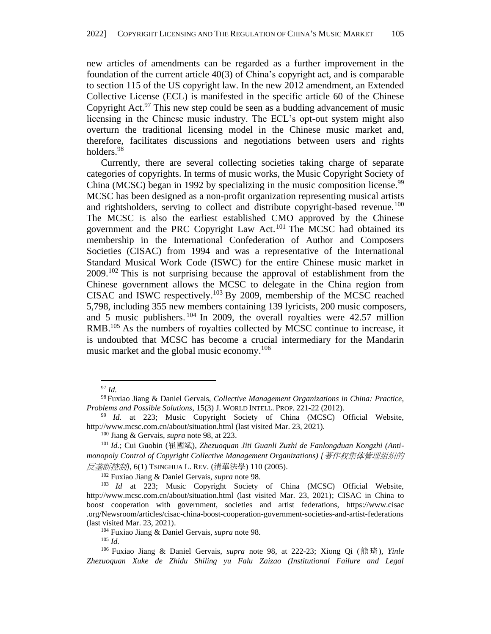new articles of amendments can be regarded as a further improvement in the foundation of the current article 40(3) of China's copyright act, and is comparable to section 115 of the US copyright law. In the new 2012 amendment, an Extended Collective License (ECL) is manifested in the specific article 60 of the Chinese Copyright Act.<sup>97</sup> This new step could be seen as a budding advancement of music licensing in the Chinese music industry. The ECL's opt-out system might also overturn the traditional licensing model in the Chinese music market and, therefore, facilitates discussions and negotiations between users and rights holders. 98

 Currently, there are several collecting societies taking charge of separate categories of copyrights. In terms of music works, the Music Copyright Society of China (MCSC) began in 1992 by specializing in the music composition license.<sup>99</sup> MCSC has been designed as a non-profit organization representing musical artists and rightsholders, serving to collect and distribute copyright-based revenue.<sup>100</sup> The MCSC is also the earliest established CMO approved by the Chinese government and the PRC Copyright Law Act.<sup>101</sup> The MCSC had obtained its membership in the International Confederation of Author and Composers Societies (CISAC) from 1994 and was a representative of the International Standard Musical Work Code (ISWC) for the entire Chinese music market in 2009.<sup>102</sup> This is not surprising because the approval of establishment from the Chinese government allows the MCSC to delegate in the China region from CISAC and ISWC respectively. <sup>103</sup> By 2009, membership of the MCSC reached 5,798, including 355 new members containing 139 lyricists, 200 music composers, and 5 music publishers. <sup>104</sup> In 2009, the overall royalties were 42.57 million RMB.<sup>105</sup> As the numbers of royalties collected by MCSC continue to increase, it is undoubted that MCSC has become a crucial intermediary for the Mandarin music market and the global music economy. 106

<sup>97</sup> *Id.*

<sup>98</sup> Fuxiao Jiang & Daniel Gervais, *Collective Management Organizations in China: Practice, Problems and Possible Solutions*, 15(3) J. WORLD INTELL. PROP. 221-22 (2012).

<sup>99</sup> *Id.* at 223; Music Copyright Society of China (MCSC) Official Website, <http://www.mcsc.com.cn/about/situation.html> (last visited Mar. 23, 2021).

<sup>100</sup> Jiang & Gervais, *supra* note 98, at 223.

<sup>101</sup> *Id.*; Cui Guobin (崔國斌), *Zhezuoquan Jiti Guanli Zuzhi de Fanlongduan Kongzhi (Antimonopoly Control of Copyright Collective Management Organizations) [*著作权集体管理组织的 反垄断控制*]*, 6(1) TSINGHUA L. REV. (清華法學) 110 (2005).

<sup>102</sup> Fuxiao Jiang & Daniel Gervais, *supra* note 98.

<sup>103</sup> *Id* at 223; Music Copyright Society of China (MCSC) Official Website, http://www.mcsc.com.cn/about/situation.html (last visited Mar. 23, 2021); CISAC in China to boost cooperation with government, societies and artist federations, https://www.cisac .org/Newsroom/articles/cisac-china-boost-cooperation-government-societies-and-artist-federations (last visited Mar. 23, 2021).

<sup>104</sup> Fuxiao Jiang & Daniel Gervais, *supra* note 98.

<sup>105</sup> *Id.* 

<sup>106</sup> Fuxiao Jiang & Daniel Gervais, *supra* note 98, at 222-23; Xiong Qi (熊琦), *Yinle Zhezuoquan Xuke de Zhidu Shiling yu Falu Zaizao (Institutional Failure and Legal*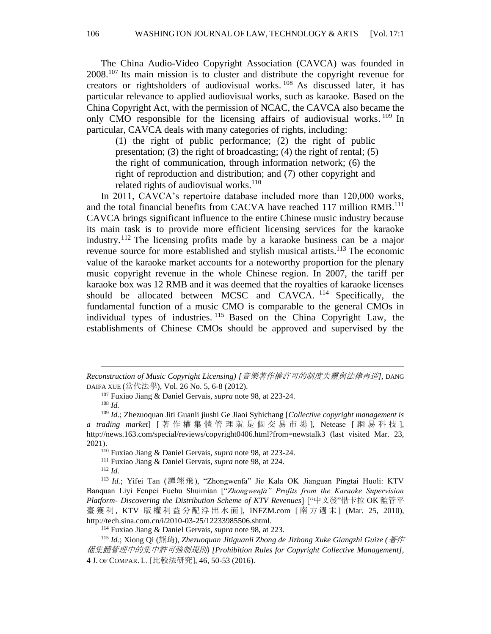The China Audio-Video Copyright Association (CAVCA) was founded in  $2008$ .<sup>107</sup> Its main mission is to cluster and distribute the copyright revenue for creators or rightsholders of audiovisual works. <sup>108</sup> As discussed later, it has particular relevance to applied audiovisual works, such as karaoke. Based on the China Copyright Act, with the permission of NCAC, the CAVCA also became the only CMO responsible for the licensing affairs of audiovisual works.<sup>109</sup> In particular, CAVCA deals with many categories of rights, including:

(1) the right of public performance; (2) the right of public presentation; (3) the right of broadcasting; (4) the right of rental; (5) the right of communication, through information network; (6) the right of reproduction and distribution; and (7) other copyright and related rights of audiovisual works.<sup>110</sup>

In 2011, CAVCA's repertoire database included more than 120,000 works, and the total financial benefits from CACVA have reached 117 million RMB. 111 CAVCA brings significant influence to the entire Chinese music industry because its main task is to provide more efficient licensing services for the karaoke industry. <sup>112</sup> The licensing profits made by a karaoke business can be a major revenue source for more established and stylish musical artists.<sup>113</sup> The economic value of the karaoke market accounts for a noteworthy proportion for the plenary music copyright revenue in the whole Chinese region. In 2007, the tariff per karaoke box was 12 RMB and it was deemed that the royalties of karaoke licenses should be allocated between MCSC and CAVCA.  $114$  Specifically, the fundamental function of a music CMO is comparable to the general CMOs in individual types of industries.  $115$  Based on the China Copyright Law, the establishments of Chinese CMOs should be approved and supervised by the

<sup>110</sup> Fuxiao Jiang & Daniel Gervais, *supra* note 98, at 223-24.

<sup>111</sup> Fuxiao Jiang & Daniel Gervais, *supra* note 98, at 224.

*Reconstruction of Music Copyright Licensing) [*音樂著作權許可的制度失靈與法律再造*]*, DANG DAIFA XUE (當代法學), Vol. 26 No. 5, 6-8 (2012).

<sup>107</sup> Fuxiao Jiang & Daniel Gervais, *supra* note 98, at 223-24.

<sup>108</sup> *Id.*

<sup>109</sup> *Id.*; Zhezuoquan Jiti Guanli jiushi Ge Jiaoi Syhichang [*Collective copyright management is a trading market*] [ 著作權集體管理就是個交易市場 ], Netease [ 網 易 科 技 ], <http://news.163.com/special/reviews/copyright0406.html?from=newstalk3> (last visited Mar. 23, 2021).

<sup>112</sup> *Id.*

<sup>113</sup> *Id.*; Yifei Tan (譚翊飛), "Zhongwenfa" Jie Kala OK Jianguan Pingtai Huoli: KTV Banquan Liyi Fenpei Fuchu Shuimian ["*Zhongwenfa" Profits from the Karaoke Supervision Platform- Discovering the Distribution Scheme of KTV Revenues*] ["中文發"借卡拉 OK 監管平 臺獲利, KTV 版權利益分配浮出水面], INFZM.com [南方週末] (Mar. 25, 2010), http://tech.sina.com.cn/i/2010-03-25/12233985506.shtml.

<sup>114</sup> Fuxiao Jiang & Daniel Gervais, *supra* note 98, at 223.

<sup>115</sup> *Id.*; Xiong Qi (熊琦), *Zhezuoquan Jitiguanli Zhong de Jizhong Xuke Giangzhi Guize (*著作 權集體管理中的集中許可強制規則*) [Prohibition Rules for Copyright Collective Management]*, 4 J. OF COMPAR. L. [比較法研究], 46, 50-53 (2016).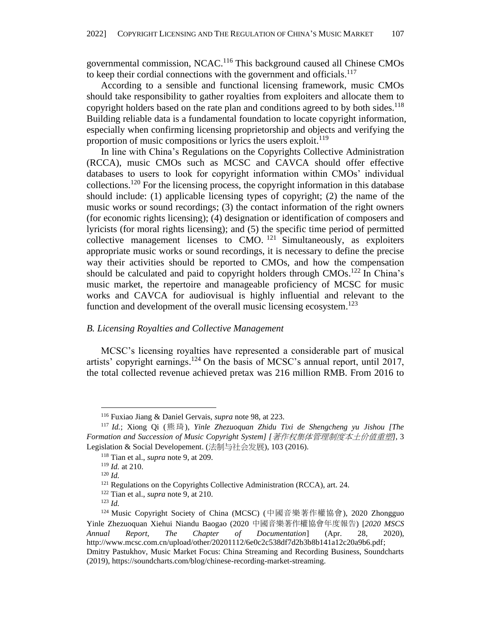governmental commission, NCAC.<sup>116</sup> This background caused all Chinese CMOs to keep their cordial connections with the government and officials.<sup>117</sup>

 According to a sensible and functional licensing framework, music CMOs should take responsibility to gather royalties from exploiters and allocate them to copyright holders based on the rate plan and conditions agreed to by both sides.<sup>118</sup> Building reliable data is a fundamental foundation to locate copyright information, especially when confirming licensing proprietorship and objects and verifying the proportion of music compositions or lyrics the users exploit.<sup>119</sup>

 In line with China's Regulations on the Copyrights Collective Administration (RCCA), music CMOs such as MCSC and CAVCA should offer effective databases to users to look for copyright information within CMOs' individual collections.<sup>120</sup> For the licensing process, the copyright information in this database should include: (1) applicable licensing types of copyright; (2) the name of the music works or sound recordings; (3) the contact information of the right owners (for economic rights licensing); (4) designation or identification of composers and lyricists (for moral rights licensing); and (5) the specific time period of permitted collective management licenses to CMO.<sup>121</sup> Simultaneously, as exploiters appropriate music works or sound recordings, it is necessary to define the precise way their activities should be reported to CMOs, and how the compensation should be calculated and paid to copyright holders through  $CMOs$ .<sup>122</sup> In China's music market, the repertoire and manageable proficiency of MCSC for music works and CAVCA for audiovisual is highly influential and relevant to the function and development of the overall music licensing ecosystem.<sup>123</sup>

#### *B. Licensing Royalties and Collective Management*

 MCSC's licensing royalties have represented a considerable part of musical artists' copyright earnings.<sup>124</sup> On the basis of MCSC's annual report, until 2017, the total collected revenue achieved pretax was 216 million RMB. From 2016 to

<sup>116</sup> Fuxiao Jiang & Daniel Gervais, *supra* note 98, at 223.

<sup>117</sup> *Id.*; Xiong Qi (熊琦), *Yinle Zhezuoquan Zhidu Tixi de Shengcheng yu Jishou [The Formation and Succession of Music Copyright System] [*著作权集体管理制度本土价值重塑*]*, 3 Legislation & Social Developement. (法制与社会发展), 103 (2016).

<sup>118</sup> Tian et al., *supra* note 9, at 209.

<sup>119</sup> *Id.* at 210.

<sup>120</sup> *Id.*

<sup>&</sup>lt;sup>121</sup> Regulations on the Copyrights Collective Administration (RCCA), art. 24.

<sup>122</sup> Tian et al., *supra* note 9, at 210.

<sup>123</sup> *Id.*

<sup>124</sup> Music Copyright Society of China (MCSC) (中國音樂著作權協會), 2020 Zhongguo Yinle Zhezuoquan Xiehui Niandu Baogao (2020 中國音樂著作權協會年度報告) [*2020 MSCS Annual Report, The Chapter of Documentation*] (Apr. 28, 2020), [http://www.mcsc.com.cn/upload/other/20201112/6e0c2c538df7d2b3b8b141a12c20a9b6.pdf;](http://www.mcsc.com.cn/upload/other/20201112/6e0c2c538df7d2b3b8b141a12c20a9b6.pdf) Dmitry Pastukhov, Music Market Focus: China Streaming and Recording Business, Soundcharts (2019), https://soundcharts.com/blog/chinese-recording-market-streaming.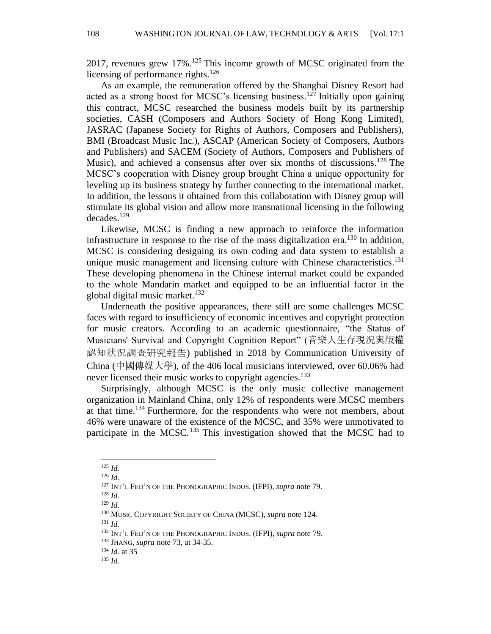2017, revenues grew 17%.<sup>125</sup> This income growth of MCSC originated from the licensing of performance rights.<sup>126</sup>

 As an example, the remuneration offered by the Shanghai Disney Resort had acted as a strong boost for MCSC's licensing business.<sup>127</sup> Initially upon gaining this contract, MCSC researched the business models built by its partnership societies, CASH (Composers and Authors Society of Hong Kong Limited), JASRAC (Japanese Society for Rights of Authors, Composers and Publishers), BMI (Broadcast Music Inc.), ASCAP (American Society of Composers, Authors and Publishers) and SACEM (Society of Authors, Composers and Publishers of Music), and achieved a consensus after over six months of discussions.<sup>128</sup> The MCSC's cooperation with Disney group brought China a unique opportunity for leveling up its business strategy by further connecting to the international market. In addition, the lessons it obtained from this collaboration with Disney group will stimulate its global vision and allow more transnational licensing in the following decades. 129

 Likewise, MCSC is finding a new approach to reinforce the information infrastructure in response to the rise of the mass digitalization era.<sup>130</sup> In addition, MCSC is considering designing its own coding and data system to establish a unique music management and licensing culture with Chinese characteristics.<sup>131</sup> These developing phenomena in the Chinese internal market could be expanded to the whole Mandarin market and equipped to be an influential factor in the global digital music market. 132

 Underneath the positive appearances, there still are some challenges MCSC faces with regard to insufficiency of economic incentives and copyright protection for music creators. According to an academic questionnaire, "the Status of Musicians' Survival and Copyright Cognition Report" (音樂人生存現況與版權 認知狀況調查研究報告) published in 2018 by Communication University of China (中國傳媒大學), of the 406 local musicians interviewed, over 60.06% had never licensed their music works to copyright agencies.<sup>133</sup>

 Surprisingly, although MCSC is the only music collective management organization in Mainland China, only 12% of respondents were MCSC members at that time.<sup>134</sup> Furthermore, for the respondents who were not members, about 46% were unaware of the existence of the MCSC, and 35% were unmotivated to participate in the MCSC.<sup>135</sup> This investigation showed that the MCSC had to

<sup>125</sup> *Id.*

<sup>126</sup> *Id.*

<sup>127</sup> INT'L FED'N OF THE PHONOGRAPHIC INDUS. (IFPI), *supra* note 79.

<sup>128</sup> *Id.*

<sup>129</sup> *Id.*

<sup>130</sup> MUSIC COPYRIGHT SOCIETY OF CHINA (MCSC), *supra* note 124.

<sup>131</sup> *Id.*

<sup>132</sup> INT'L FED'N OF THE PHONOGRAPHIC INDUS. (IFPI), *supra* note 79.

<sup>133</sup> JHANG, *supra* note 73, at 34-35.

<sup>134</sup> *Id.* at 35

 $135$  *Id.*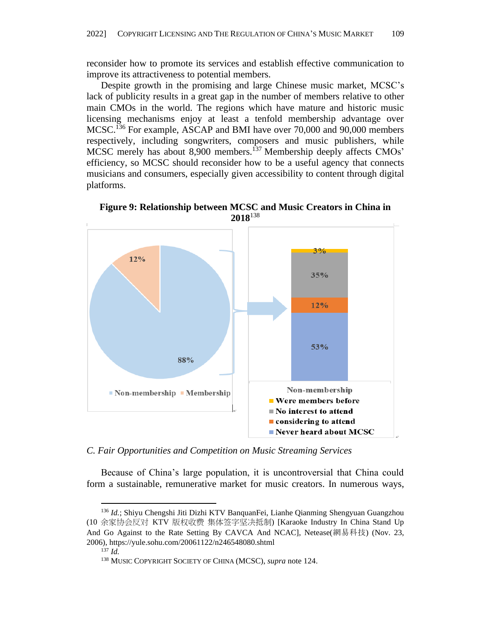reconsider how to promote its services and establish effective communication to improve its attractiveness to potential members.

 Despite growth in the promising and large Chinese music market, MCSC's lack of publicity results in a great gap in the number of members relative to other main CMOs in the world. The regions which have mature and historic music licensing mechanisms enjoy at least a tenfold membership advantage over MCSC.<sup>136</sup> For example, ASCAP and BMI have over 70,000 and 90,000 members respectively, including songwriters, composers and music publishers, while MCSC merely has about 8,900 members.<sup>137</sup> Membership deeply affects CMOs' efficiency, so MCSC should reconsider how to be a useful agency that connects musicians and consumers, especially given accessibility to content through digital platforms.



**Figure 9: Relationship between MCSC and Music Creators in China in 2018**<sup>138</sup>

*C. Fair Opportunities and Competition on Music Streaming Services*

 Because of China's large population, it is uncontroversial that China could form a sustainable, remunerative market for music creators. In numerous ways,

<sup>136</sup> *Id.*; Shiyu Chengshi Jiti Dizhi KTV BanquanFei, Lianhe Qianming Shengyuan Guangzhou (10 余家协会反对 KTV 版权收费 集体签字坚决抵制) [Karaoke Industry In China Stand Up And Go Against to the Rate Setting By CAVCA And NCAC], Netease(網易科技) (Nov. 23, 2006), https://yule.sohu.com/20061122/n246548080.shtml

<sup>137</sup> *Id.*

<sup>138</sup> MUSIC COPYRIGHT SOCIETY OF CHINA (MCSC), *supra* note 124.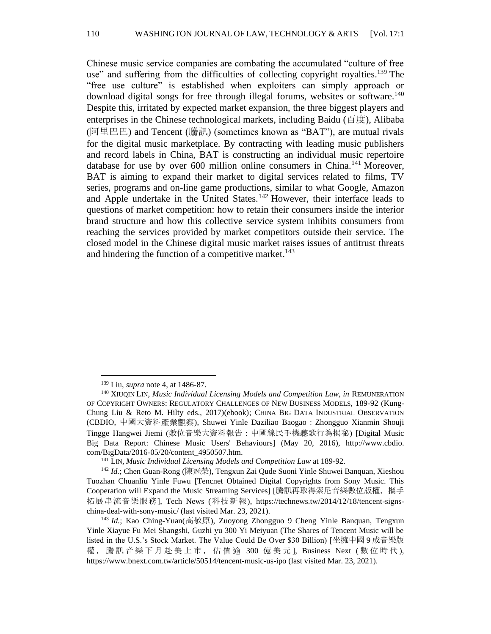Chinese music service companies are combating the accumulated "culture of free use" and suffering from the difficulties of collecting copyright royalties.<sup>139</sup> The "free use culture" is established when exploiters can simply approach or download digital songs for free through illegal forums, websites or software.<sup>140</sup> Despite this, irritated by expected market expansion, the three biggest players and enterprises in the Chinese technological markets, including Baidu (百度), Alibaba (阿里巴巴) and Tencent (騰訊) (sometimes known as "BAT"), are mutual rivals for the digital music marketplace. By contracting with leading music publishers and record labels in China, BAT is constructing an individual music repertoire database for use by over 600 million online consumers in China.<sup>141</sup> Moreover, BAT is aiming to expand their market to digital services related to films, TV series, programs and on-line game productions, similar to what Google, Amazon and Apple undertake in the United States.<sup>142</sup> However, their interface leads to questions of market competition: how to retain their consumers inside the interior brand structure and how this collective service system inhibits consumers from reaching the services provided by market competitors outside their service. The closed model in the Chinese digital music market raises issues of antitrust threats and hindering the function of a competitive market.<sup>143</sup>

<sup>139</sup> Liu, *supra* note 4, at 1486-87.

<sup>140</sup> XIUQIN LIN, *Music Individual Licensing Models and Competition Law, in* REMUNERATION OF COPYRIGHT OWNERS: REGULATORY CHALLENGES OF NEW BUSINESS MODELS, 189-92 (Kung-Chung Liu & Reto M. Hilty eds., 2017)(ebook); CHINA BIG DATA INDUSTRIAL OBSERVATION (CBDIO, 中國大資料產業觀察), Shuwei Yinle Daziliao Baogao:Zhongguo Xianmin Shouji Tingge Hangwei Jiemi (數位音樂大資料報告:中國線民手機聽歌行為揭秘) [Digital Music Big Data Report: Chinese Music Users' Behaviours] (May 20, 2016), http://www.cbdio. com/BigData/2016-05/20/content\_4950507.htm.

<sup>141</sup> LIN, *Music Individual Licensing Models and Competition Law* at 189-92.

<sup>142</sup> *Id.*; Chen Guan-Rong (陳冠榮), Tengxun Zai Qude Suoni Yinle Shuwei Banquan, Xieshou Tuozhan Chuanliu Yinle Fuwu [Tencnet Obtained Digital Copyrights from Sony Music. This Cooperation will Expand the Music Streaming Services] [騰訊再取得索尼音樂數位版權,攜手 拓展串流音樂服務], Tech News (科技新報), [https://technews.tw/2014/12/18/tencent-signs](https://technews.tw/2014/12/18/tencent-signs-china-deal-with-sony-music/)[china-deal-with-sony-music/](https://technews.tw/2014/12/18/tencent-signs-china-deal-with-sony-music/) (last visited Mar. 23, 2021).

<sup>143</sup> *Id.*; Kao Ching-Yuan(高敬原), Zuoyong Zhongguo 9 Cheng Yinle Banquan, Tengxun Yinle Xiayue Fu Mei Shangshi, Guzhi yu 300 Yi Meiyuan (The Shares of Tencent Music will be listed in the U.S.'s Stock Market. The Value Could Be Over \$30 Billion) [坐擁中國 9 成音樂版 權 , 騰 訊 音 樂 下 月 赴 美 上 市 , 估 值 逾 300 億美元 ], Business Next ( 數 位 時 代 ), <https://www.bnext.com.tw/article/50514/tencent-music-us-ipo> (last visited Mar. 23, 2021).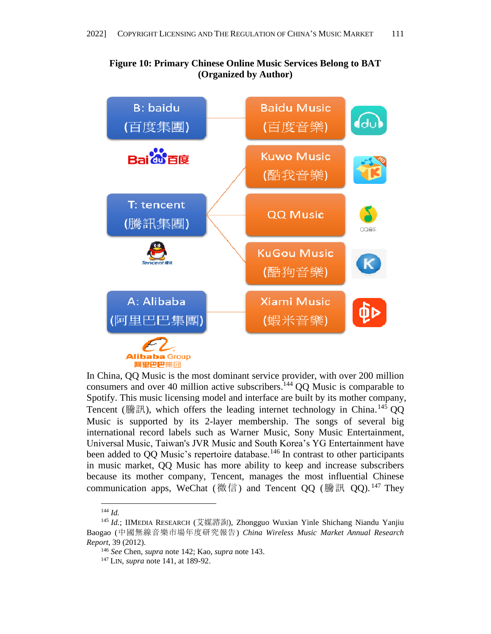

# **Figure 10: Primary Chinese Online Music Services Belong to BAT (Organized by Author)**

In China, QQ Music is the most dominant service provider, with over 200 million consumers and over 40 million active subscribers.<sup>144</sup> QQ Music is comparable to Spotify. This music licensing model and interface are built by its mother company, Tencent (騰訊), which offers the leading internet technology in China.<sup>145</sup> QQ Music is supported by its 2-layer membership. The songs of several big international record labels such as Warner Music, Sony Music Entertainment, Universal Music, Taiwan's JVR Music and South Korea's YG Entertainment have been added to QQ Music's repertoire database.<sup>146</sup> In contrast to other participants in music market, QQ Music has more ability to keep and increase subscribers because its mother company, Tencent, manages the most influential Chinese communication apps, WeChat (微信) and Tencent QQ (騰訊 QQ).<sup>147</sup> They

<sup>144</sup> *Id.*

<sup>&</sup>lt;sup>145</sup> Id.; IIMEDIA RESEARCH (艾媒諮詢), Zhongguo Wuxian Yinle Shichang Niandu Yanjiu Baogao (中國無線音樂市場年度研究報告) *China Wireless Music Market Annual Research Report*, 39 (2012).

<sup>146</sup> *See* Chen, *supra* note 142; Kao, *supra* note 143.

<sup>147</sup> LIN, *supra* note 141, at 189-92.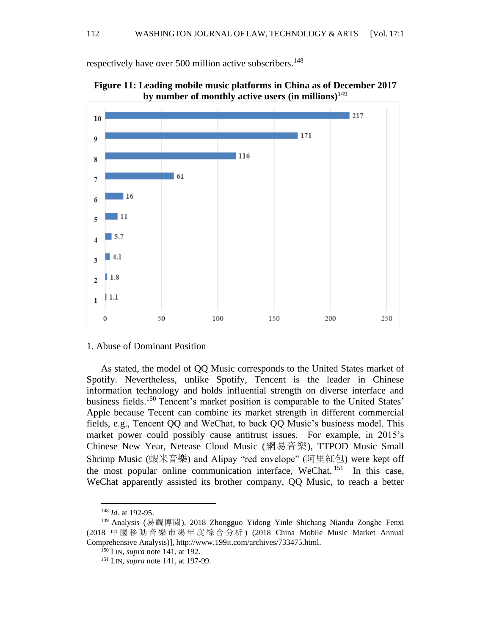respectively have over 500 million active subscribers.<sup>148</sup>



**Figure 11: Leading mobile music platforms in China as of December 2017 by number of monthly active users (in millions)**<sup>149</sup>

#### 1. Abuse of Dominant Position

 As stated, the model of QQ Music corresponds to the United States market of Spotify. Nevertheless, unlike Spotify, Tencent is the leader in Chinese information technology and holds influential strength on diverse interface and business fields.<sup>150</sup> Tencent's market position is comparable to the United States' Apple because Tecent can combine its market strength in different commercial fields, e.g., Tencent QQ and WeChat, to back QQ Music's business model. This market power could possibly cause antitrust issues. For example, in 2015's Chinese New Year, Netease Cloud Music (網易音樂), TTPOD Music Small Shrimp Music (蝦米音樂) and Alipay "red envelope" (阿里紅包) were kept off the most popular online communication interface, WeChat.<sup>151</sup> In this case, WeChat apparently assisted its brother company, QQ Music, to reach a better

<sup>148</sup> *Id.* at 192-95.

<sup>149</sup> Analysis (易觀博閱), 2018 Zhongguo Yidong Yinle Shichang Niandu Zonghe Fenxi (2018 中 國 移 動 音 樂 市 場 年 度 綜 合 分 析 ) (2018 China Mobile Music Market Annual Comprehensive Analysis)], [http://www.199it.com/archives/733475.html.](http://www.199it.com/archives/733475.html)

<sup>150</sup> LIN, *supra* note 141, at 192.

<sup>151</sup> LIN, *supra* note 141, at 197-99.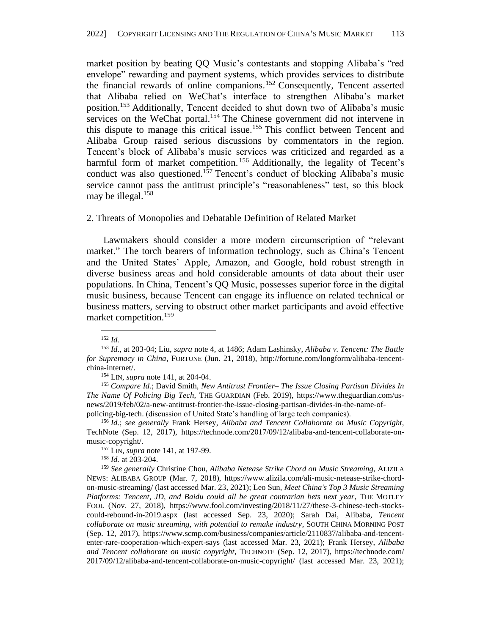market position by beating QQ Music's contestants and stopping Alibaba's "red envelope" rewarding and payment systems, which provides services to distribute the financial rewards of online companions. <sup>152</sup> Consequently, Tencent asserted that Alibaba relied on WeChat's interface to strengthen Alibaba's market position.<sup>153</sup> Additionally, Tencent decided to shut down two of Alibaba's music services on the WeChat portal.<sup>154</sup> The Chinese government did not intervene in this dispute to manage this critical issue. <sup>155</sup> This conflict between Tencent and Alibaba Group raised serious discussions by commentators in the region. Tencent's block of Alibaba's music services was criticized and regarded as a harmful form of market competition.<sup>156</sup> Additionally, the legality of Tecent's conduct was also questioned. <sup>157</sup> Tencent's conduct of blocking Alibaba's music service cannot pass the antitrust principle's "reasonableness" test, so this block may be illegal. 158

#### 2. Threats of Monopolies and Debatable Definition of Related Market

 Lawmakers should consider a more modern circumscription of "relevant market." The torch bearers of information technology, such as China's Tencent and the United States' Apple, Amazon, and Google, hold robust strength in diverse business areas and hold considerable amounts of data about their user populations. In China, Tencent's QQ Music, possesses superior force in the digital music business, because Tencent can engage its influence on related technical or business matters, serving to obstruct other market participants and avoid effective market competition. 159

<sup>152</sup> *Id.*

<sup>153</sup> *Id.*, at 203-04; Liu, *supra* note 4, at 1486; Adam Lashinsky, *Alibaba v. Tencent: The Battle for Supremacy in China*, FORTUNE (Jun. 21, 2018), [http://fortune.com/longform/alibaba-tencent](http://fortune.com/longform/alibaba-tencent-china-internet/)[china-internet/.](http://fortune.com/longform/alibaba-tencent-china-internet/)

<sup>154</sup> LIN, *supra* note 141, at 204-04.

<sup>155</sup> *Compare Id.*; David Smith, *New Antitrust Frontier– The Issue Closing Partisan Divides In The Name Of Policing Big Tech,* THE GUARDIAN (Feb. 2019), [https://www.theguardian.com/us](https://www.theguardian.com/us-news/2019/feb/02/a-new-antitrust-frontier-the-issue-closing-partisan-divides-in-the-name-of-policing-big-tech)[news/2019/feb/02/a-new-antitrust-frontier-the-issue-closing-partisan-divides-in-the-name-of](https://www.theguardian.com/us-news/2019/feb/02/a-new-antitrust-frontier-the-issue-closing-partisan-divides-in-the-name-of-policing-big-tech)[policing-big-tech.](https://www.theguardian.com/us-news/2019/feb/02/a-new-antitrust-frontier-the-issue-closing-partisan-divides-in-the-name-of-policing-big-tech) (discussion of United State's handling of large tech companies).

<sup>156</sup> *Id.*; *see generally* Frank Hersey, *Alibaba and Tencent Collaborate on Music Copyright*, TechNote (Sep. 12, 2017), [https://technode.com/2017/09/12/alibaba-and-tencent-collaborate-on](https://technode.com/2017/09/12/alibaba-and-tencent-collaborate-on-music-copyright/)[music-copyright/.](https://technode.com/2017/09/12/alibaba-and-tencent-collaborate-on-music-copyright/)

<sup>157</sup> LIN, *supra* note 141, at 197-99.

<sup>158</sup> *Id.* at 203-204.

<sup>159</sup> *See generally* Christine Chou, *Alibaba Netease Strike Chord on Music Streaming*, ALIZILA NEWS: ALIBABA GROUP (Mar. 7, 2018), https://www.alizila.com/ali-music-netease-strike-chordon-music-streaming/ (last accessed Mar. 23, 2021); Leo Sun, *Meet China's Top 3 Music Streaming Platforms: Tencent, JD, and Baidu could all be great contrarian bets next year*, THE MOTLEY FOOL (Nov. 27, 2018), https://www.fool.com/investing/2018/11/27/these-3-chinese-tech-stockscould-rebound-in-2019.aspx (last accessed Sep. 23, 2020); Sarah Dai, Alibaba, *Tencent collaborate on music streaming, with potential to remake industry*, SOUTH CHINA MORNING POST (Sep. 12, 2017), https://www.scmp.com/business/companies/article/2110837/alibaba-and-tencententer-rare-cooperation-which-expert-says (last accessed Mar. 23, 2021); Frank Hersey, *Alibaba and Tencent collaborate on music copyright*, TECHNOTE (Sep. 12, 2017), https://technode.com/ 2017/09/12/alibaba-and-tencent-collaborate-on-music-copyright/ (last accessed Mar. 23, 2021);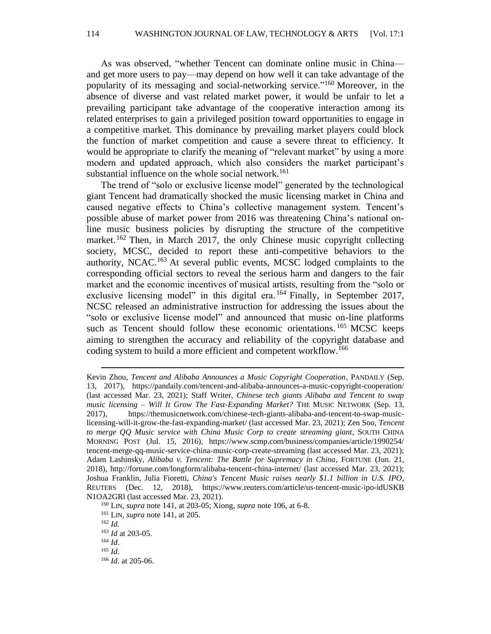As was observed, "whether Tencent can dominate online music in China and get more users to pay—may depend on how well it can take advantage of the popularity of its messaging and social-networking service." <sup>160</sup> Moreover, in the absence of diverse and vast related market power, it would be unfair to let a prevailing participant take advantage of the cooperative interaction among its related enterprises to gain a privileged position toward opportunities to engage in a competitive market. This dominance by prevailing market players could block the function of market competition and cause a severe threat to efficiency. It would be appropriate to clarify the meaning of "relevant market" by using a more modern and updated approach, which also considers the market participant's substantial influence on the whole social network. 161

 The trend of "solo or exclusive license model" generated by the technological giant Tencent had dramatically shocked the music licensing market in China and caused negative effects to China's collective management system. Tencent's possible abuse of market power from 2016 was threatening China's national online music business policies by disrupting the structure of the competitive market.<sup>162</sup> Then, in March 2017, the only Chinese music copyright collecting society, MCSC, decided to report these anti-competitive behaviors to the authority, NCAC.<sup>163</sup> At several public events, MCSC lodged complaints to the corresponding official sectors to reveal the serious harm and dangers to the fair market and the economic incentives of musical artists, resulting from the "solo or exclusive licensing model" in this digital era.<sup>164</sup> Finally, in September 2017, NCSC released an administrative instruction for addressing the issues about the "solo or exclusive license model" and announced that music on-line platforms such as Tencent should follow these economic orientations.<sup>165</sup> MCSC keeps aiming to strengthen the accuracy and reliability of the copyright database and coding system to build a more efficient and competent workflow. 166

Kevin Zhou, *Tencent and Alibaba Announces a Music Copyright Cooperation*, PANDAILY (Sep. 13, 2017), https://pandaily.com/tencent-and-alibaba-announces-a-music-copyright-cooperation/ (last accessed Mar. 23, 2021); Staff Writer, *Chinese tech giants Alibaba and Tencent to swap music licensing – Will It Grow The Fast-Expanding Market?* THE MUSIC NETWORK (Sep. 13, 2017), https://themusicnetwork.com/chinese-tech-giants-alibaba-and-tencent-to-swap-musiclicensing-will-it-grow-the-fast-expanding-market/ (last accessed Mar. 23, 2021); Zen Soo, *Tencent to merge QQ Music service with China Music Corp to create streaming giant*, SOUTH CHINA MORNING POST (Jul. 15, 2016), https://www.scmp.com/business/companies/article/1990254/ tencent-merge-qq-music-service-china-music-corp-create-streaming (last accessed Mar. 23, 2021); Adam Lashinsky, *Alibaba v. Tencent: The Battle for Supremacy in China*, FORTUNE (Jun. 21, 2018), http://fortune.com/longform/alibaba-tencent-china-internet/ (last accessed Mar. 23, 2021); Joshua Franklin, Julia Fioretti, *China's Tencent Music raises nearly \$1.1 billion in U.S. IPO*, REUTERS (Dec. 12, 2018), https://www.reuters.com/article/us-tencent-music-ipo-idUSKB N1OA2GRl (last accessed Mar. 23, 2021).

<sup>160</sup> LIN, *supra* note 141, at 203-05; Xiong, *supra* note 106, at 6-8.

<sup>161</sup> LIN, *supra* note 141, at 205.

<sup>162</sup> *Id.*

<sup>163</sup> *Id* at 203-05.

<sup>164</sup> *Id*.

<sup>165</sup> *Id.*

<sup>166</sup> *Id*. at 205-06.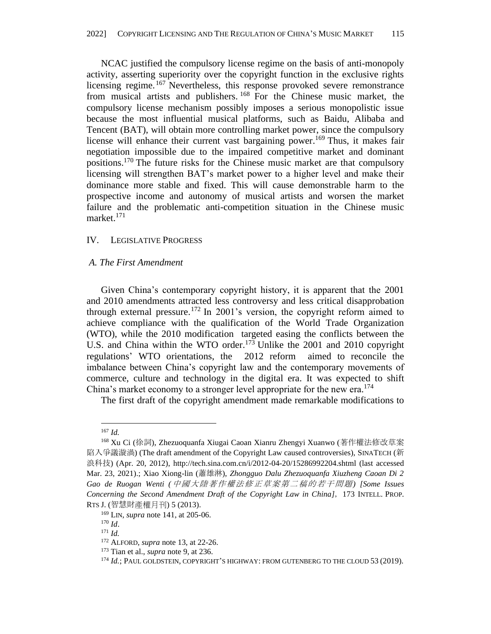NCAC justified the compulsory license regime on the basis of anti-monopoly activity, asserting superiority over the copyright function in the exclusive rights licensing regime.<sup>167</sup> Nevertheless, this response provoked severe remonstrance from musical artists and publishers. <sup>168</sup> For the Chinese music market, the compulsory license mechanism possibly imposes a serious monopolistic issue because the most influential musical platforms, such as Baidu, Alibaba and Tencent (BAT), will obtain more controlling market power, since the compulsory license will enhance their current vast bargaining power. <sup>169</sup> Thus, it makes fair negotiation impossible due to the impaired competitive market and dominant positions.<sup>170</sup> The future risks for the Chinese music market are that compulsory licensing will strengthen BAT's market power to a higher level and make their dominance more stable and fixed. This will cause demonstrable harm to the prospective income and autonomy of musical artists and worsen the market failure and the problematic anti-competition situation in the Chinese music market. 171

#### IV. LEGISLATIVE PROGRESS

#### *A. The First Amendment*

 Given China's contemporary copyright history, it is apparent that the 2001 and 2010 amendments attracted less controversy and less critical disapprobation through external pressure.<sup>172</sup> In 2001's version, the copyright reform aimed to achieve compliance with the qualification of the World Trade Organization (WTO), while the 2010 modification targeted easing the conflicts between the U.S. and China within the WTO order.<sup>173</sup> Unlike the 2001 and 2010 copyright regulations' WTO orientations, the 2012 reform aimed to reconcile the imbalance between China's copyright law and the contemporary movements of commerce, culture and technology in the digital era. It was expected to shift China's market economy to a stronger level appropriate for the new era. 174

The first draft of the copyright amendment made remarkable modifications to

<sup>167</sup> *Id.*

<sup>168</sup> Xu Ci (徐詞), Zhezuoquanfa Xiugai Caoan Xianru Zhengyi Xuanwo (著作權法修改草案 陷入爭議漩渦) (The draft amendment of the Copyright Law caused controversies), SINATECH (新 浪科技) (Apr. 20, 2012),<http://tech.sina.com.cn/i/2012-04-20/15286992204.shtml> (last accessed Mar. 23, 2021).; Xiao Xiong-lin (蕭雄淋), *Zhongguo Dalu Zhezuoquanfa Xiuzheng Caoan Di 2 Gao de Ruogan Wenti (*中國大陸著作權法修正草案第二稿的若干問題*) [Some Issues Concerning the Second Amendment Draft of the Copyright Law in China]*,173 INTELL. PROP. RTS J. (智慧財產權月刊) 5 (2013).

<sup>169</sup> LIN, *supra* note 141, at 205-06.

<sup>170</sup> *Id*.

<sup>171</sup> *Id.*

<sup>172</sup> ALFORD, *supra* note 13, at 22-26.

<sup>173</sup> Tian et al., *supra* note 9, at 236.

<sup>174</sup> *Id.*; PAUL GOLDSTEIN, COPYRIGHT'S HIGHWAY: FROM GUTENBERG TO THE CLOUD 53 (2019).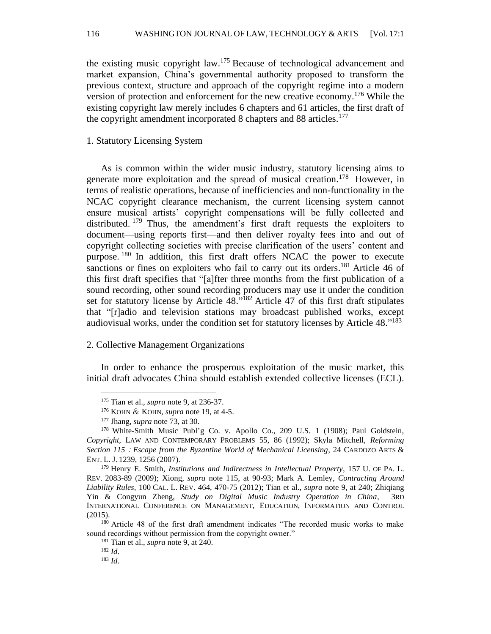the existing music copyright law. <sup>175</sup> Because of technological advancement and market expansion, China's governmental authority proposed to transform the previous context, structure and approach of the copyright regime into a modern version of protection and enforcement for the new creative economy. <sup>176</sup> While the existing copyright law merely includes 6 chapters and 61 articles, the first draft of the copyright amendment incorporated 8 chapters and 88 articles.<sup>177</sup>

## 1. Statutory Licensing System

 As is common within the wider music industry, statutory licensing aims to generate more exploitation and the spread of musical creation.<sup>178</sup> However, in terms of realistic operations, because of inefficiencies and non-functionality in the NCAC copyright clearance mechanism, the current licensing system cannot ensure musical artists' copyright compensations will be fully collected and distributed.<sup>179</sup> Thus, the amendment's first draft requests the exploiters to document—using reports first—and then deliver royalty fees into and out of copyright collecting societies with precise clarification of the users' content and purpose.<sup>180</sup> In addition, this first draft offers NCAC the power to execute sanctions or fines on exploiters who fail to carry out its orders.<sup>181</sup> Article 46 of this first draft specifies that "[a]fter three months from the first publication of a sound recording, other sound recording producers may use it under the condition set for statutory license by Article 48."<sup>182</sup> Article 47 of this first draft stipulates that "[r]adio and television stations may broadcast published works, except audiovisual works, under the condition set for statutory licenses by Article 48."<sup>183</sup>

## 2. Collective Management Organizations

 In order to enhance the prosperous exploitation of the music market, this initial draft advocates China should establish extended collective licenses (ECL).

<sup>179</sup> Henry E. Smith, *Institutions and Indirectness in Intellectual Property*, 157 U. OF PA. L. REV. 2083-89 (2009); Xiong, *supra* note 115, at 90-93; Mark A. Lemley, *Contracting Around Liability Rules*, 100 CAL. L. REV. 464, 470-75 (2012); Tian et al., *supra* note 9, at 240; Zhiqiang Yin & Congyun Zheng, *Study on Digital Music Industry Operation in China*, 3RD INTERNATIONAL CONFERENCE ON MANAGEMENT, EDUCATION, INFORMATION AND CONTROL (2015).

<sup>175</sup> Tian et al., *supra* note 9, at 236-37.

<sup>176</sup> KOHN & KOHN, *supra* note 19, at 4-5.

<sup>177</sup> Jhang, *supra* note 73, at 30.

<sup>&</sup>lt;sup>178</sup> White-Smith Music Publ'g Co. v. Apollo Co., 209 U.S. 1 (1908); Paul Goldstein, *Copyright*, LAW AND CONTEMPORARY PROBLEMS 55, 86 (1992); Skyla Mitchell, *Reforming Section 115*:*Escape from the Byzantine World of Mechanical Licensing*, 24 CARDOZO ARTS & ENT. L. J. 1239, 1256 (2007).

<sup>&</sup>lt;sup>180</sup> Article 48 of the first draft amendment indicates "The recorded music works to make sound recordings without permission from the copyright owner."

<sup>181</sup> Tian et al., *supra* note 9, at 240.

<sup>182</sup> *Id*.

<sup>183</sup> *Id*.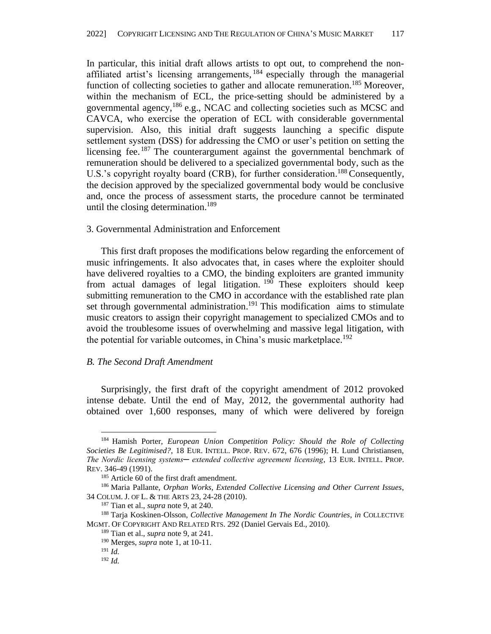In particular, this initial draft allows artists to opt out, to comprehend the nonaffiliated artist's licensing arrangements, <sup>184</sup> especially through the managerial function of collecting societies to gather and allocate remuneration.<sup>185</sup> Moreover, within the mechanism of ECL, the price-setting should be administered by a governmental agency,<sup>186</sup> e.g., NCAC and collecting societies such as MCSC and CAVCA, who exercise the operation of ECL with considerable governmental supervision. Also, this initial draft suggests launching a specific dispute settlement system (DSS) for addressing the CMO or user's petition on setting the licensing fee.<sup>187</sup> The counterargument against the governmental benchmark of remuneration should be delivered to a specialized governmental body, such as the U.S.'s copyright royalty board (CRB), for further consideration.<sup>188</sup> Consequently, the decision approved by the specialized governmental body would be conclusive and, once the process of assessment starts, the procedure cannot be terminated until the closing determination.<sup>189</sup>

## 3. Governmental Administration and Enforcement

 This first draft proposes the modifications below regarding the enforcement of music infringements. It also advocates that, in cases where the exploiter should have delivered royalties to a CMO, the binding exploiters are granted immunity from actual damages of legal litigation.<sup>190</sup> These exploiters should keep submitting remuneration to the CMO in accordance with the established rate plan set through governmental administration.<sup>191</sup> This modification aims to stimulate music creators to assign their copyright management to specialized CMOs and to avoid the troublesome issues of overwhelming and massive legal litigation, with the potential for variable outcomes, in China's music marketplace.<sup>192</sup>

#### *B. The Second Draft Amendment*

 Surprisingly, the first draft of the copyright amendment of 2012 provoked intense debate. Until the end of May, 2012, the governmental authority had obtained over 1,600 responses, many of which were delivered by foreign

<sup>184</sup> Hamish Porter, *European Union Competition Policy: Should the Role of Collecting Societies Be Legitimised?*, 18 EUR. INTELL. PROP. REV. 672, 676 (1996); H. Lund Christiansen, *The Nordic licensing systems─ extended collective agreement licensing*, 13 EUR. INTELL. PROP. REV. 346-49 (1991).

<sup>&</sup>lt;sup>185</sup> Article 60 of the first draft amendment.

<sup>186</sup> Maria Pallante, *Orphan Works, Extended Collective Licensing and Other Current Issues*, 34 COLUM. J. OF L. & THE ARTS 23, 24-28 (2010).

<sup>187</sup> Tian et al., *supra* note 9, at 240.

<sup>188</sup> Tarja Koskinen-Olsson, *Collective Management In The Nordic Countries*, *in* COLLECTIVE MGMT. OF COPYRIGHT AND RELATED RTS. 292 (Daniel Gervais Ed., 2010).

<sup>189</sup> Tian et al., *supra* note 9, at 241.

<sup>190</sup> Merges, *supra* note 1, at 10-11.

<sup>191</sup> *Id.*

<sup>192</sup> *Id.*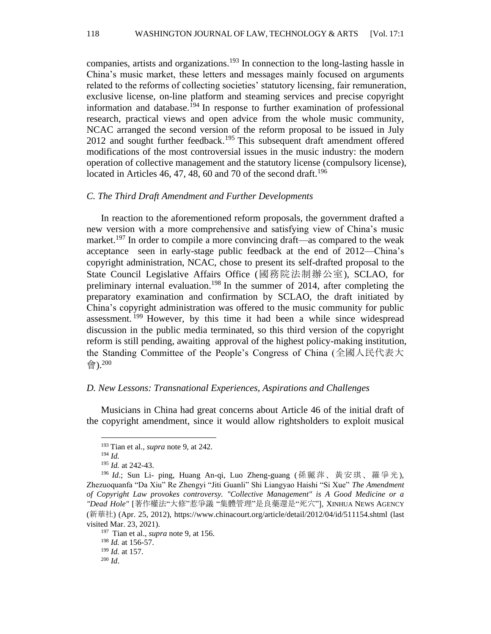companies, artists and organizations. <sup>193</sup> In connection to the long-lasting hassle in China's music market, these letters and messages mainly focused on arguments related to the reforms of collecting societies' statutory licensing, fair remuneration, exclusive license, on-line platform and steaming services and precise copyright information and database.<sup>194</sup> In response to further examination of professional research, practical views and open advice from the whole music community, NCAC arranged the second version of the reform proposal to be issued in July 2012 and sought further feedback.<sup>195</sup> This subsequent draft amendment offered modifications of the most controversial issues in the music industry: the modern operation of collective management and the statutory license (compulsory license), located in Articles 46, 47, 48, 60 and 70 of the second draft.<sup>196</sup>

#### *C. The Third Draft Amendment and Further Developments*

 In reaction to the aforementioned reform proposals, the government drafted a new version with a more comprehensive and satisfying view of China's music market.<sup>197</sup> In order to compile a more convincing draft—as compared to the weak acceptance seen in early-stage public feedback at the end of 2012—China's copyright administration, NCAC, chose to present its self-drafted proposal to the State Council Legislative Affairs Office (國務院法制辦公室), SCLAO, for preliminary internal evaluation. <sup>198</sup> In the summer of 2014, after completing the preparatory examination and confirmation by SCLAO, the draft initiated by China's copyright administration was offered to the music community for public assessment.<sup>199</sup> However, by this time it had been a while since widespread discussion in the public media terminated, so this third version of the copyright reform is still pending, awaiting approval of the highest policy-making institution, the Standing Committee of the People's Congress of China (全國人民代表大 會). 200

# *D. New Lessons: Transnational Experiences, Aspirations and Challenges*

 Musicians in China had great concerns about Article 46 of the initial draft of the copyright amendment, since it would allow rightsholders to exploit musical

<sup>197</sup> Tian et al., *supra* note 9, at 156.

<sup>198</sup> *Id.* at 156-57.

<sup>199</sup> *Id.* at 157.

<sup>200</sup> *Id*.

<sup>193</sup> Tian et al., *supra* note 9, at 242.

<sup>194</sup> *Id.*

<sup>195</sup> *Id.* at 242-43.

<sup>196</sup> *Id*.; Sun Li- ping, Huang An-qi, Luo Zheng-guang (孫麗萍、黃安琪、羅爭光), Zhezuoquanfa "Da Xiu" Re Zhengyi "Jiti Guanli" Shi Liangyao Haishi "Si Xue" *The Amendment of Copyright Law provokes controversy. "Collective Management" is A Good Medicine or a "Dead Hole"* [著作權法"大修"惹爭議 "集體管理"是良藥還是"死穴"], XINHUA NEWS AGENCY (新華社) (Apr. 25, 2012),<https://www.chinacourt.org/article/detail/2012/04/id/511154.shtml> (last visited Mar. 23, 2021).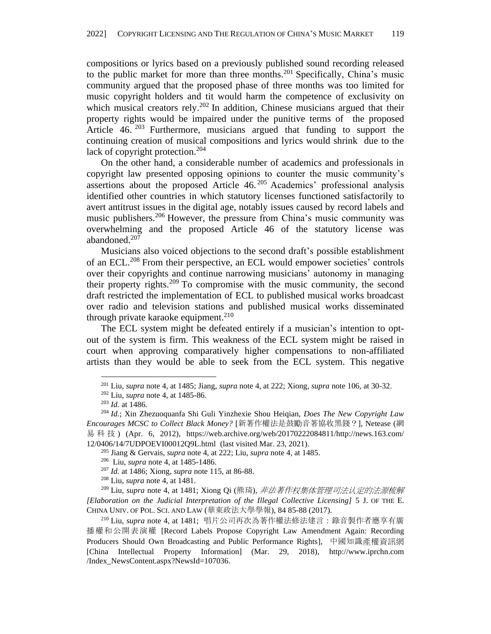compositions or lyrics based on a previously published sound recording released to the public market for more than three months.<sup>201</sup> Specifically, China's music community argued that the proposed phase of three months was too limited for music copyright holders and tit would harm the competence of exclusivity on which musical creators rely.<sup>202</sup> In addition, Chinese musicians argued that their property rights would be impaired under the punitive terms of the proposed Article 46.<sup>203</sup> Furthermore, musicians argued that funding to support the continuing creation of musical compositions and lyrics would shrink due to the lack of copyright protection.<sup>204</sup>

 On the other hand, a considerable number of academics and professionals in copyright law presented opposing opinions to counter the music community's assertions about the proposed Article  $46.^{205}$  Academics' professional analysis identified other countries in which statutory licenses functioned satisfactorily to avert antitrust issues in the digital age, notably issues caused by record labels and music publishers.<sup>206</sup> However, the pressure from China's music community was overwhelming and the proposed Article 46 of the statutory license was abandoned. 207

 Musicians also voiced objections to the second draft's possible establishment of an ECL.<sup>208</sup> From their perspective, an ECL would empower societies' controls over their copyrights and continue narrowing musicians' autonomy in managing their property rights.<sup>209</sup> To compromise with the music community, the second draft restricted the implementation of ECL to published musical works broadcast over radio and television stations and published musical works disseminated through private karaoke equipment.<sup>210</sup>

 The ECL system might be defeated entirely if a musician's intention to optout of the system is firm. This weakness of the ECL system might be raised in court when approving comparatively higher compensations to non-affiliated artists than they would be able to seek from the ECL system. This negative

<sup>209</sup> Liu*, supra* note 4, at 1481; Xiong Qi (熊琦), 非法著作权集体管理司法认定的法源梳解 *[Elaboration on the Judicial Interpretation of the Illegal Collective Licensing]* 5 J. OF THE E. CHINA UNIV. OF POL. SCI. AND LAW (華東政法大學學報), 84 85-88 (2017).

<sup>210</sup> Liu, *supra* note 4, at 1481; 唱片公司再次為著作權法修法建言:錄音製作者應享有廣 播權和公開表演權 [Record Labels Propose Copyright Law Amendment Again: Recording Producers Should Own Broadcasting and Public Performance Rights], 中國知識產權資訊網 [China Intellectual Property Information] (Mar. 29, 2018), http://www.iprchn.com /Index\_NewsContent.aspx?NewsId=107036.

<sup>201</sup> Liu, *supra* note 4, at 1485; Jiang, *supra* note 4, at 222; Xiong, *supra* note 106, at 30-32.

<sup>202</sup> Liu, *supra* note 4, at 1485-86.

<sup>203</sup> *Id.* at 1486.

<sup>204</sup> *Id.*; Xin Zhezuoquanfa Shi Guli Yinzhexie Shou Heiqian, *Does The New Copyright Law Encourages MCSC to Collect Black Money?* [新著作權法是鼓勵音著協收黑錢?], Netease (網 易科技 ) (Apr. 6, 2012), https://web.archive.org/web/20170222084811/http://news.163.com/ 12/0406/14/7UDPOEVI00012Q9L.html (last visited Mar. 23, 2021).

<sup>205</sup> Jiang & Gervais, *supra* note 4, at 222; Liu, *supra* note 4, at 1485.

<sup>206</sup> Liu, *supra* note 4, at 1485-1486.

<sup>207</sup> *Id.* at 1486; Xiong, *supra* note 115, at 86-88.

<sup>208</sup> Liu, *supra* note 4, at 1481.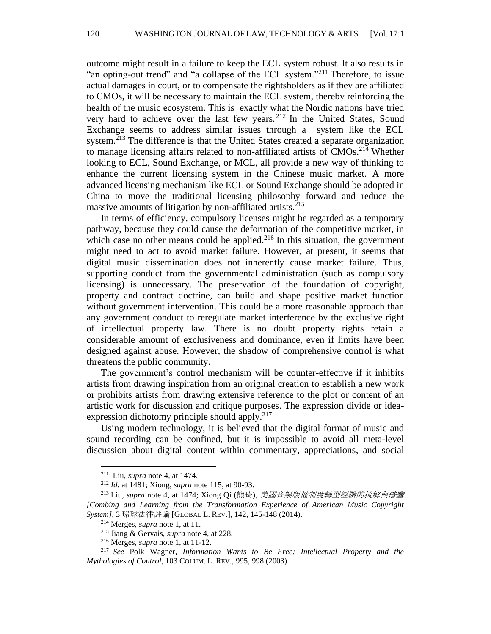outcome might result in a failure to keep the ECL system robust. It also results in "an opting-out trend" and "a collapse of the ECL system."<sup>211</sup> Therefore, to issue actual damages in court, or to compensate the rightsholders as if they are affiliated to CMOs, it will be necessary to maintain the ECL system, thereby reinforcing the health of the music ecosystem. This is exactly what the Nordic nations have tried very hard to achieve over the last few years. <sup>212</sup> In the United States, Sound Exchange seems to address similar issues through a system like the ECL system.<sup>213</sup> The difference is that the United States created a separate organization to manage licensing affairs related to non-affiliated artists of CMOs.<sup>214</sup> Whether looking to ECL, Sound Exchange, or MCL, all provide a new way of thinking to enhance the current licensing system in the Chinese music market. A more advanced licensing mechanism like ECL or Sound Exchange should be adopted in China to move the traditional licensing philosophy forward and reduce the massive amounts of litigation by non-affiliated artists.<sup>215</sup>

 In terms of efficiency, compulsory licenses might be regarded as a temporary pathway, because they could cause the deformation of the competitive market, in which case no other means could be applied. $2^{16}$  In this situation, the government might need to act to avoid market failure. However, at present, it seems that digital music dissemination does not inherently cause market failure. Thus, supporting conduct from the governmental administration (such as compulsory licensing) is unnecessary. The preservation of the foundation of copyright, property and contract doctrine, can build and shape positive market function without government intervention. This could be a more reasonable approach than any government conduct to reregulate market interference by the exclusive right of intellectual property law. There is no doubt property rights retain a considerable amount of exclusiveness and dominance, even if limits have been designed against abuse. However, the shadow of comprehensive control is what threatens the public community.

 The government's control mechanism will be counter-effective if it inhibits artists from drawing inspiration from an original creation to establish a new work or prohibits artists from drawing extensive reference to the plot or content of an artistic work for discussion and critique purposes. The expression divide or ideaexpression dichotomy principle should apply.<sup>217</sup>

 Using modern technology, it is believed that the digital format of music and sound recording can be confined, but it is impossible to avoid all meta-level discussion about digital content within commentary, appreciations, and social

<sup>211</sup> Liu, *supra* note 4, at 1474.

<sup>212</sup> *Id.* at 1481; Xiong, *supra* note 115, at 90-93.

<sup>213</sup> Liu, *supra* note 4, at 1474; Xiong Qi (熊琦), 美國音樂版權制度轉型經驗的梳解與借鑒 *[Combing and Learning from the Transformation Experience of American Music Copyright System]*, 3 環球法律評論 [GLOBAL L. REV.], 142, 145-148 (2014).

<sup>214</sup> Merges, *supra* note 1, at 11.

<sup>215</sup> Jiang & Gervais, *supra* note 4, at 228.

<sup>216</sup> Merges, *supra* note 1, at 11-12.

<sup>217</sup> *See* Polk Wagner, *Information Wants to Be Free: Intellectual Property and the Mythologies of Control*, 103 COLUM. L. REV., 995, 998 (2003).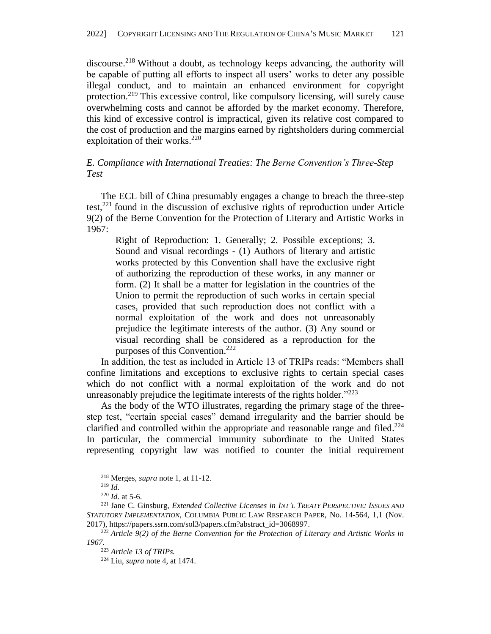discourse.<sup>218</sup> Without a doubt, as technology keeps advancing, the authority will be capable of putting all efforts to inspect all users' works to deter any possible illegal conduct, and to maintain an enhanced environment for copyright protection. <sup>219</sup> This excessive control, like compulsory licensing, will surely cause overwhelming costs and cannot be afforded by the market economy. Therefore, this kind of excessive control is impractical, given its relative cost compared to the cost of production and the margins earned by rightsholders during commercial exploitation of their works.<sup>220</sup>

# *E. Compliance with International Treaties: The Berne Convention's Three-Step Test*

 The ECL bill of China presumably engages a change to breach the three-step test, $^{221}$  found in the discussion of exclusive rights of reproduction under Article 9(2) of the Berne Convention for the Protection of Literary and Artistic Works in 1967:

Right of Reproduction: 1. Generally; 2. Possible exceptions; 3. Sound and visual recordings - (1) Authors of literary and artistic works protected by this Convention shall have the exclusive right of authorizing the reproduction of these works, in any manner or form. (2) It shall be a matter for legislation in the countries of the Union to permit the reproduction of such works in certain special cases, provided that such reproduction does not conflict with a normal exploitation of the work and does not unreasonably prejudice the legitimate interests of the author. (3) Any sound or visual recording shall be considered as a reproduction for the purposes of this Convention. 222

 In addition, the test as included in Article 13 of TRIPs reads: "Members shall confine limitations and exceptions to exclusive rights to certain special cases which do not conflict with a normal exploitation of the work and do not unreasonably prejudice the legitimate interests of the rights holder. $"223"$ 

 As the body of the WTO illustrates, regarding the primary stage of the threestep test, "certain special cases" demand irregularity and the barrier should be clarified and controlled within the appropriate and reasonable range and filed.<sup>224</sup> In particular, the commercial immunity subordinate to the United States representing copyright law was notified to counter the initial requirement

<sup>218</sup> Merges, *supra* note 1, at 11-12.

<sup>219</sup> *Id.*

<sup>220</sup> *Id.* at 5-6.

<sup>221</sup> Jane C. Ginsburg, *Extended Collective Licenses in INT'L TREATY PERSPECTIVE: ISSUES AND STATUTORY IMPLEMENTATION*, COLUMBIA PUBLIC LAW RESEARCH PAPER, No. 14-564, 1,1 (Nov. 2017), [https://papers.ssrn.com/sol3/papers.cfm?abstract\\_id=3068997.](https://papers.ssrn.com/sol3/papers.cfm?abstract_id=3068997)

<sup>222</sup> *Article 9(2) of the Berne Convention for the Protection of Literary and Artistic Works in 1967.*

<sup>223</sup> *Article 13 of TRIPs.*

<sup>224</sup> Liu, *supra* note 4, at 1474.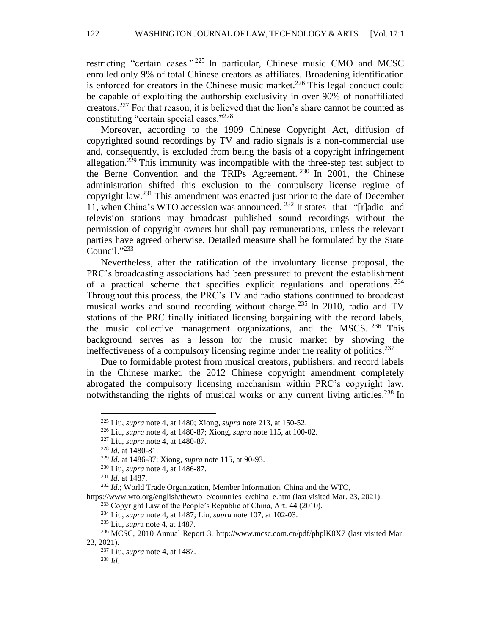restricting "certain cases." <sup>225</sup> In particular, Chinese music CMO and MCSC enrolled only 9% of total Chinese creators as affiliates. Broadening identification is enforced for creators in the Chinese music market. <sup>226</sup> This legal conduct could be capable of exploiting the authorship exclusivity in over 90% of nonaffiliated creators.<sup>227</sup> For that reason, it is believed that the lion's share cannot be counted as constituting "certain special cases."<sup>228</sup>

 Moreover, according to the 1909 Chinese Copyright Act, diffusion of copyrighted sound recordings by TV and radio signals is a non-commercial use and, consequently, is excluded from being the basis of a copyright infringement allegation.<sup>229</sup> This immunity was incompatible with the three-step test subject to the Berne Convention and the TRIPs Agreement.<sup>230</sup> In 2001, the Chinese administration shifted this exclusion to the compulsory license regime of copyright law. <sup>231</sup> This amendment was enacted just prior to the date of December 11, when China's WTO accession was announced.  $232$  It states that "[r]adio and television stations may broadcast published sound recordings without the permission of copyright owners but shall pay remunerations, unless the relevant parties have agreed otherwise. Detailed measure shall be formulated by the State Council."<sup>233</sup>

 Nevertheless, after the ratification of the involuntary license proposal, the PRC's broadcasting associations had been pressured to prevent the establishment of a practical scheme that specifies explicit regulations and operations.<sup>234</sup> Throughout this process, the PRC's TV and radio stations continued to broadcast musical works and sound recording without charge.<sup>235</sup> In 2010, radio and TV stations of the PRC finally initiated licensing bargaining with the record labels, the music collective management organizations, and the MSCS. <sup>236</sup> This background serves as a lesson for the music market by showing the ineffectiveness of a compulsory licensing regime under the reality of politics. 237

 Due to formidable protest from musical creators, publishers, and record labels in the Chinese market, the 2012 Chinese copyright amendment completely abrogated the compulsory licensing mechanism within PRC's copyright law, notwithstanding the rights of musical works or any current living articles.<sup>238</sup> In

<sup>225</sup> Liu, *supra* note 4*,* at 1480; Xiong, *supra* note 213, at 150-52.

<sup>226</sup> Liu, *supra* note 4*,* at 1480-87; Xiong, *supra* note 115, at 100-02.

<sup>227</sup> Liu, *supra* note 4, at 1480-87.

<sup>228</sup> *Id.* at 1480-81.

<sup>229</sup> *Id.* at 1486-87; Xiong, *supra* note 115, at 90-93.

<sup>230</sup> Liu, *supra* note 4*,* at 1486-87.

<sup>231</sup> *Id.* at 1487.

<sup>232</sup> *Id.*; World Trade Organization, Member Information, China and the WTO,

[https://www.wto.org/english/thewto\\_e/countries\\_e/china\\_e.htm](https://www.wto.org/english/thewto_e/countries_e/china_e.htm) (last visited Mar. 23, 2021).

<sup>&</sup>lt;sup>233</sup> Copyright Law of the People's Republic of China, Art. 44 (2010).

<sup>234</sup> Liu, *supra* note 4, at 1487; Liu, *supra* note 107, at 102-03.

<sup>235</sup> Liu, *supr*a note 4, at 1487.

<sup>236</sup> MCSC, 2010 Annual Report 3,<http://www.mcsc.com.cn/pdf/phplK0X7> (last visited Mar. 23, 2021).

<sup>237</sup> Liu, *supra* note 4, at 1487.

<sup>238</sup> *Id.*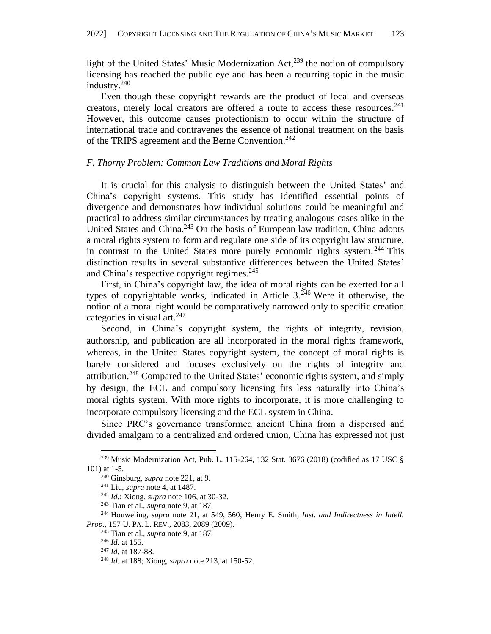light of the United States' Music Modernization Act,<sup>239</sup> the notion of compulsory licensing has reached the public eye and has been a recurring topic in the music industry. 240

 Even though these copyright rewards are the product of local and overseas creators, merely local creators are offered a route to access these resources. 241 However, this outcome causes protectionism to occur within the structure of international trade and contravenes the essence of national treatment on the basis of the TRIPS agreement and the Berne Convention.<sup>242</sup>

### *F. Thorny Problem: Common Law Traditions and Moral Rights*

 It is crucial for this analysis to distinguish between the United States' and China's copyright systems. This study has identified essential points of divergence and demonstrates how individual solutions could be meaningful and practical to address similar circumstances by treating analogous cases alike in the United States and China.<sup>243</sup> On the basis of European law tradition, China adopts a moral rights system to form and regulate one side of its copyright law structure, in contrast to the United States more purely economic rights system.<sup>244</sup> This distinction results in several substantive differences between the United States' and China's respective copyright regimes.<sup>245</sup>

 First, in China's copyright law, the idea of moral rights can be exerted for all types of copyrightable works, indicated in Article  $3.^{246}$  Were it otherwise, the notion of a moral right would be comparatively narrowed only to specific creation categories in visual art.<sup>247</sup>

 Second, in China's copyright system, the rights of integrity, revision, authorship, and publication are all incorporated in the moral rights framework, whereas, in the United States copyright system, the concept of moral rights is barely considered and focuses exclusively on the rights of integrity and attribution.<sup>248</sup> Compared to the United States' economic rights system, and simply by design, the ECL and compulsory licensing fits less naturally into China's moral rights system. With more rights to incorporate, it is more challenging to incorporate compulsory licensing and the ECL system in China.

 Since PRC's governance transformed ancient China from a dispersed and divided amalgam to a centralized and ordered union, China has expressed not just

<sup>&</sup>lt;sup>239</sup> Music Modernization Act, Pub. L. 115-264, 132 Stat. 3676 (2018) (codified as 17 USC  $\S$ 101) at 1-5.

<sup>240</sup> Ginsburg, *supra* note 221, at 9.

<sup>241</sup> Liu, *supra* note 4, at 1487.

<sup>242</sup> *Id.*; Xiong, *supra* note 106, at 30-32.

<sup>243</sup> Tian et al., *supra* note 9, at 187.

<sup>244</sup> Houweling, *supra* note 21, at 549, 560; Henry E. Smith*, Inst. and Indirectness in Intell. Prop.*, 157 U. PA. L. REV., 2083, 2089 (2009).

<sup>245</sup> Tian et al., *supra* note 9, at 187.

<sup>246</sup> *Id.* at 155.

<sup>247</sup> *Id.* at 187-88.

<sup>248</sup> *Id.* at 188; Xiong, *supra* note 213, at 150-52.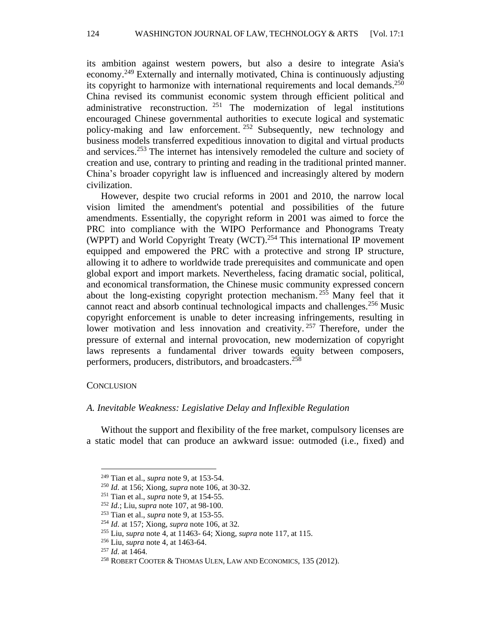its ambition against western powers, but also a desire to integrate Asia's economy.<sup>249</sup> Externally and internally motivated, China is continuously adjusting its copyright to harmonize with international requirements and local demands.<sup>250</sup> China revised its communist economic system through efficient political and administrative reconstruction.  $251$  The modernization of legal institutions encouraged Chinese governmental authorities to execute logical and systematic policy-making and law enforcement.<sup>252</sup> Subsequently, new technology and business models transferred expeditious innovation to digital and virtual products and services.<sup>253</sup> The internet has intensively remodeled the culture and society of creation and use, contrary to printing and reading in the traditional printed manner. China's broader copyright law is influenced and increasingly altered by modern civilization.

 However, despite two crucial reforms in 2001 and 2010, the narrow local vision limited the amendment's potential and possibilities of the future amendments. Essentially, the copyright reform in 2001 was aimed to force the PRC into compliance with the WIPO Performance and Phonograms Treaty (WPPT) and World Copyright Treaty (WCT).<sup>254</sup> This international IP movement equipped and empowered the PRC with a protective and strong IP structure, allowing it to adhere to worldwide trade prerequisites and communicate and open global export and import markets. Nevertheless, facing dramatic social, political, and economical transformation, the Chinese music community expressed concern about the long-existing copyright protection mechanism. <sup>255</sup> Many feel that it cannot react and absorb continual technological impacts and challenges.<sup>256</sup> Music copyright enforcement is unable to deter increasing infringements, resulting in lower motivation and less innovation and creativity.  $257$  Therefore, under the pressure of external and internal provocation, new modernization of copyright laws represents a fundamental driver towards equity between composers, performers, producers, distributors, and broadcasters. 258

#### **CONCLUSION**

# *A. Inevitable Weakness: Legislative Delay and Inflexible Regulation*

 Without the support and flexibility of the free market, compulsory licenses are a static model that can produce an awkward issue: outmoded (i.e., fixed) and

<sup>249</sup> Tian et al., *supra* note 9, at 153-54.

<sup>250</sup> *Id.* at 156; Xiong, *supra* note 106, at 30-32.

<sup>251</sup> Tian et al., *supra* note 9, at 154-55.

<sup>252</sup> *Id.*; Liu, *supra* note 107, at 98-100.

<sup>253</sup> Tian et al., *supra* note 9, at 153-55.

<sup>254</sup> *Id.* at 157; Xiong, *supra* note 106, at 32*.*

<sup>255</sup> Liu, *supra* note 4, at 11463- 64; Xiong, *supra* note 117, at 115.

<sup>256</sup> Liu, *supra* note 4, at 1463-64.

<sup>257</sup> *Id.* at 1464.

<sup>258</sup> ROBERT COOTER & THOMAS ULEN, LAW AND ECONOMICS, 135 (2012).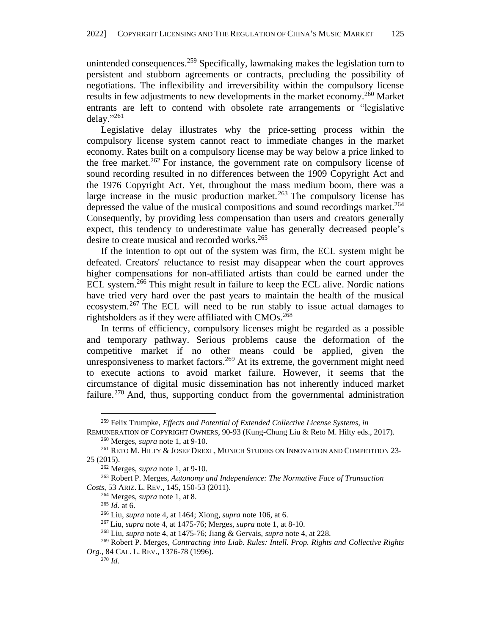unintended consequences.<sup>259</sup> Specifically, lawmaking makes the legislation turn to persistent and stubborn agreements or contracts, precluding the possibility of negotiations. The inflexibility and irreversibility within the compulsory license results in few adjustments to new developments in the market economy.<sup>260</sup> Market entrants are left to contend with obsolete rate arrangements or "legislative delay." $^{261}$ 

 Legislative delay illustrates why the price-setting process within the compulsory license system cannot react to immediate changes in the market economy. Rates built on a compulsory license may be way below a price linked to the free market.<sup>262</sup> For instance, the government rate on compulsory license of sound recording resulted in no differences between the 1909 Copyright Act and the 1976 Copyright Act. Yet, throughout the mass medium boom, there was a large increase in the music production market. <sup>263</sup> The compulsory license has depressed the value of the musical compositions and sound recordings market.<sup>264</sup> Consequently, by providing less compensation than users and creators generally expect, this tendency to underestimate value has generally decreased people's desire to create musical and recorded works. 265

 If the intention to opt out of the system was firm, the ECL system might be defeated. Creators' reluctance to resist may disappear when the court approves higher compensations for non-affiliated artists than could be earned under the ECL system.<sup>266</sup> This might result in failure to keep the ECL alive. Nordic nations have tried very hard over the past years to maintain the health of the musical ecosystem.<sup>267</sup> The ECL will need to be run stably to issue actual damages to rightsholders as if they were affiliated with CMOs. 268

 In terms of efficiency, compulsory licenses might be regarded as a possible and temporary pathway. Serious problems cause the deformation of the competitive market if no other means could be applied, given the unresponsiveness to market factors.<sup>269</sup> At its extreme, the government might need to execute actions to avoid market failure. However, it seems that the circumstance of digital music dissemination has not inherently induced market failure.<sup>270</sup> And, thus, supporting conduct from the governmental administration

<sup>259</sup> Felix Trumpke, *Effects and Potential of Extended Collective License Systems, in*  REMUNERATION OF COPYRIGHT OWNERS, 90-93 (Kung-Chung Liu & Reto M. Hilty eds., 2017).

<sup>260</sup> Merges, *supra* note 1, at 9-10.

<sup>&</sup>lt;sup>261</sup> RETO M. HILTY & JOSEF DREXL, MUNICH STUDIES ON INNOVATION AND COMPETITION 23-25 (2015).

<sup>262</sup> Merges, *supra* note 1, at 9-10.

<sup>263</sup> Robert P. Merges, *Autonomy and Independence: The Normative Face of Transaction Costs*, 53 ARIZ. L. REV., 145, 150-53 (2011).

<sup>264</sup> Merges, *supra* note 1, at 8.

<sup>265</sup> *Id.* at 6.

<sup>266</sup> Liu, *supra* note 4, at 1464; Xiong, *supra* note 106, at 6.

<sup>267</sup> Liu, *supra* note 4, at 1475-76; Merges, *supra* note 1, at 8-10.

<sup>268</sup> Liu, *supra* note 4, at 1475-76; Jiang & Gervais, *supra* note 4, at 228.

<sup>269</sup> Robert P. Merges, *Contracting into Liab. Rules: Intell. Prop. Rights and Collective Rights Org.*, 84 CAL. L. REV., 1376-78 (1996).

<sup>270</sup> *Id.*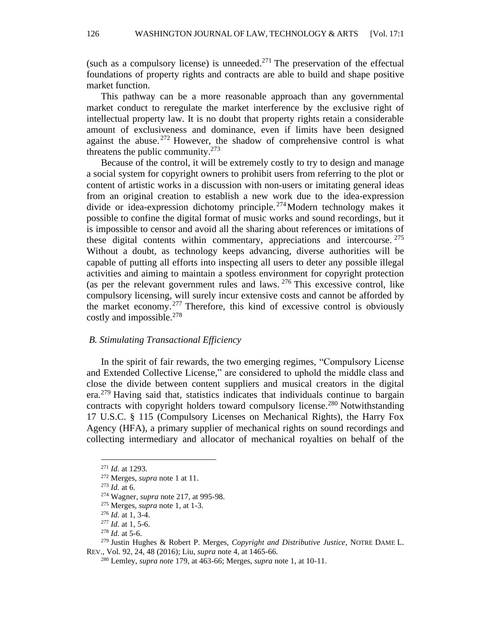(such as a compulsory license) is unneeded. $271$  The preservation of the effectual foundations of property rights and contracts are able to build and shape positive market function.

 This pathway can be a more reasonable approach than any governmental market conduct to reregulate the market interference by the exclusive right of intellectual property law. It is no doubt that property rights retain a considerable amount of exclusiveness and dominance, even if limits have been designed against the abuse.<sup>272</sup> However, the shadow of comprehensive control is what threatens the public community. $273$ 

 Because of the control, it will be extremely costly to try to design and manage a social system for copyright owners to prohibit users from referring to the plot or content of artistic works in a discussion with non-users or imitating general ideas from an original creation to establish a new work due to the idea-expression divide or idea-expression dichotomy principle.<sup>274</sup>Modern technology makes it possible to confine the digital format of music works and sound recordings, but it is impossible to censor and avoid all the sharing about references or imitations of these digital contents within commentary, appreciations and intercourse.<sup>275</sup> Without a doubt, as technology keeps advancing, diverse authorities will be capable of putting all efforts into inspecting all users to deter any possible illegal activities and aiming to maintain a spotless environment for copyright protection (as per the relevant government rules and laws.  $276$  This excessive control, like compulsory licensing, will surely incur extensive costs and cannot be afforded by the market economy.<sup>277</sup> Therefore, this kind of excessive control is obviously costly and impossible. 278

#### *B. Stimulating Transactional Efficiency*

 In the spirit of fair rewards, the two emerging regimes, "Compulsory License and Extended Collective License," are considered to uphold the middle class and close the divide between content suppliers and musical creators in the digital era. <sup>279</sup> Having said that, statistics indicates that individuals continue to bargain contracts with copyright holders toward compulsory license. <sup>280</sup> Notwithstanding 17 U.S.C. § 115 (Compulsory Licenses on Mechanical Rights), the Harry Fox Agency (HFA), a primary supplier of mechanical rights on sound recordings and collecting intermediary and allocator of mechanical royalties on behalf of the

<sup>271</sup> *Id.* at 1293.

<sup>272</sup> Merges, *supra* note 1 at 11.

<sup>273</sup> *Id.* at 6.

<sup>274</sup> Wagner, *supra* note 217, at 995-98.

<sup>275</sup> Merges, *supra* note 1, at 1-3.

<sup>276</sup> *Id.* at 1, 3-4.

<sup>277</sup> *Id.* at 1, 5-6.

<sup>278</sup> *Id.* at 5-6.

<sup>279</sup> Justin Hughes & Robert P. Merges, *Copyright and Distributive Justice*, NOTRE DAME L. REV., Vol. 92, 24, 48 (2016); Liu, *supra* note 4, at 1465-66.

<sup>280</sup> Lemley, *supra note* 179, at 463-66; Merges, *supra* note 1, at 10-11.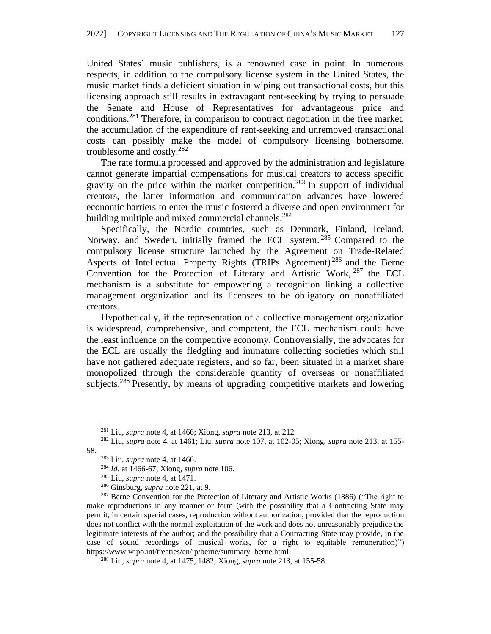United States' music publishers, is a renowned case in point. In numerous respects, in addition to the compulsory license system in the United States, the music market finds a deficient situation in wiping out transactional costs, but this licensing approach still results in extravagant rent-seeking by trying to persuade the Senate and House of Representatives for advantageous price and conditions. <sup>281</sup> Therefore, in comparison to contract negotiation in the free market, the accumulation of the expenditure of rent-seeking and unremoved transactional costs can possibly make the model of compulsory licensing bothersome, troublesome and costly. 282

 The rate formula processed and approved by the administration and legislature cannot generate impartial compensations for musical creators to access specific gravity on the price within the market competition.<sup>283</sup> In support of individual creators, the latter information and communication advances have lowered economic barriers to enter the music fostered a diverse and open environment for building multiple and mixed commercial channels.<sup>284</sup>

 Specifically, the Nordic countries, such as Denmark, Finland, Iceland, Norway, and Sweden, initially framed the ECL system.<sup>285</sup> Compared to the compulsory license structure launched by the Agreement on Trade-Related Aspects of Intellectual Property Rights (TRIPs Agreement) <sup>286</sup> and the Berne Convention for the Protection of Literary and Artistic Work, <sup>287</sup> the ECL mechanism is a substitute for empowering a recognition linking a collective management organization and its licensees to be obligatory on nonaffiliated creators.

 Hypothetically, if the representation of a collective management organization is widespread, comprehensive, and competent, the ECL mechanism could have the least influence on the competitive economy. Controversially, the advocates for the ECL are usually the fledgling and immature collecting societies which still have not gathered adequate registers, and so far, been situated in a market share monopolized through the considerable quantity of overseas or nonaffiliated subjects.<sup>288</sup> Presently, by means of upgrading competitive markets and lowering

<sup>281</sup> Liu, *supra* note 4, at 1466; Xiong, *supra* note 213, at 212*.*

<sup>282</sup> Liu, *supra* note 4, at 1461; Liu, *supra* note 107, at 102-05; Xiong, *supra* note 213, at 155- 58.

<sup>283</sup> Liu, *supra* note 4, at 1466.

<sup>284</sup> *Id.* at 1466-67; Xiong, *supra* note 106.

<sup>285</sup> Liu, *supra* note 4, at 1471.

<sup>286</sup> Ginsburg, *supra* note 221, at 9.

<sup>&</sup>lt;sup>287</sup> Berne Convention for the Protection of Literary and Artistic Works (1886) ("The right to make reproductions in any manner or form (with the possibility that a Contracting State may permit, in certain special cases, reproduction without authorization, provided that the reproduction does not conflict with the normal exploitation of the work and does not unreasonably prejudice the legitimate interests of the author; and the possibility that a Contracting State may provide, in the case of sound recordings of musical works, for a right to equitable remuneration)") [https://www.wipo.int/treaties/en/ip/berne/summary\\_berne.html.](https://www.wipo.int/treaties/en/ip/berne/summary_berne.html)

<sup>288</sup> Liu, *supra* note 4, at 1475, 1482; Xiong, *supra* note 213, at 155-58.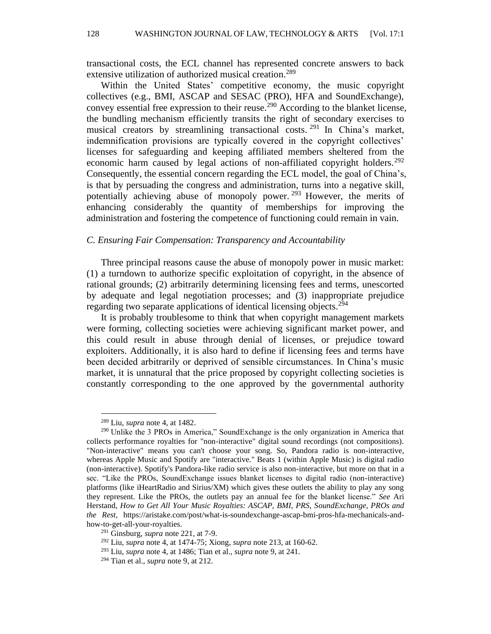128 WASHINGTON JOURNAL OF LAW, TECHNOLOGY & ARTS [Vol. 17:1

transactional costs, the ECL channel has represented concrete answers to back extensive utilization of authorized musical creation.<sup>289</sup>

 Within the United States' competitive economy, the music copyright collectives (e.g., BMI, ASCAP and SESAC (PRO), HFA and SoundExchange), convey essential free expression to their reuse. <sup>290</sup> According to the blanket license, the bundling mechanism efficiently transits the right of secondary exercises to musical creators by streamlining transactional costs.<sup>291</sup> In China's market, indemnification provisions are typically covered in the copyright collectives' licenses for safeguarding and keeping affiliated members sheltered from the economic harm caused by legal actions of non-affiliated copyright holders.<sup>292</sup> Consequently, the essential concern regarding the ECL model, the goal of China's, is that by persuading the congress and administration, turns into a negative skill, potentially achieving abuse of monopoly power.<sup>293</sup> However, the merits of enhancing considerably the quantity of memberships for improving the administration and fostering the competence of functioning could remain in vain.

# *C. Ensuring Fair Compensation: Transparency and Accountability*

Three principal reasons cause the abuse of monopoly power in music market: (1) a turndown to authorize specific exploitation of copyright, in the absence of rational grounds; (2) arbitrarily determining licensing fees and terms, unescorted by adequate and legal negotiation processes; and (3) inappropriate prejudice regarding two separate applications of identical licensing objects.<sup>294</sup>

 It is probably troublesome to think that when copyright management markets were forming, collecting societies were achieving significant market power, and this could result in abuse through denial of licenses, or prejudice toward exploiters. Additionally, it is also hard to define if licensing fees and terms have been decided arbitrarily or deprived of sensible circumstances. In China's music market, it is unnatural that the price proposed by copyright collecting societies is constantly corresponding to the one approved by the governmental authority

<sup>289</sup> Liu, *supra* note 4, at 1482.

<sup>290</sup> Unlike the 3 PROs in America," SoundExchange is the only organization in America that collects performance royalties for "non-interactive" digital sound recordings (not compositions). "Non-interactive" means you can't choose your song. So, Pandora radio is non-interactive, whereas Apple Music and Spotify are "interactive." Beats 1 (within Apple Music) is digital radio (non-interactive). Spotify's Pandora-like radio service is also non-interactive, but more on that in a sec. "Like the PROs, SoundExchange issues blanket licenses to digital radio (non-interactive) platforms (like iHeartRadio and Sirius/XM) which gives these outlets the ability to play any song they represent. Like the PROs, the outlets pay an annual fee for the blanket license." *See* Ari Herstand, *How to Get All Your Music Royalties: ASCAP, BMI, PRS, SoundExchange, PROs and the Rest*, https://aristake.com/post/what-is-soundexchange-ascap-bmi-pros-hfa-mechanicals-andhow-to-get-all-your-royalties.

<sup>291</sup> Ginsburg, *supra* note 221, at 7-9.

<sup>292</sup> Liu, *supra* note 4, at 1474-75; Xiong, *supra* note 213, at 160-62.

<sup>293</sup> Liu, *supra* note 4, at 1486; Tian et al., *supra* note 9, at 241.

<sup>294</sup> Tian et al., *supra* note 9, at 212.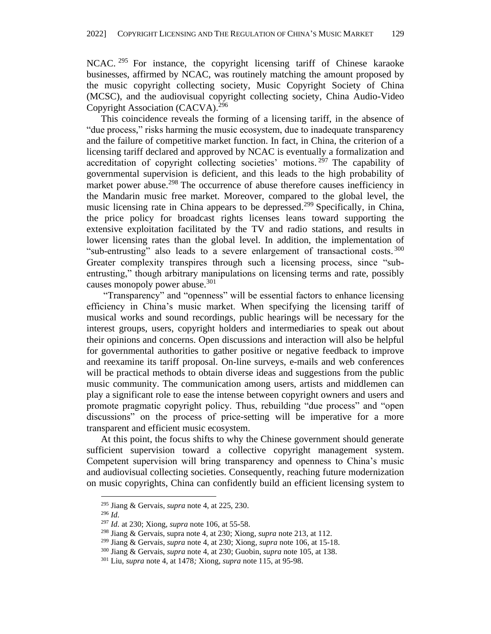NCAC.<sup>295</sup> For instance, the copyright licensing tariff of Chinese karaoke businesses, affirmed by NCAC, was routinely matching the amount proposed by the music copyright collecting society, Music Copyright Society of China (MCSC), and the audiovisual copyright collecting society, China Audio-Video Copyright Association (CACVA). 296

 This coincidence reveals the forming of a licensing tariff, in the absence of "due process," risks harming the music ecosystem, due to inadequate transparency and the failure of competitive market function. In fact, in China, the criterion of a licensing tariff declared and approved by NCAC is eventually a formalization and accreditation of copyright collecting societies' motions.<sup>297</sup> The capability of governmental supervision is deficient, and this leads to the high probability of market power abuse.<sup>298</sup> The occurrence of abuse therefore causes inefficiency in the Mandarin music free market. Moreover, compared to the global level, the music licensing rate in China appears to be depressed.<sup>299</sup> Specifically, in China, the price policy for broadcast rights licenses leans toward supporting the extensive exploitation facilitated by the TV and radio stations, and results in lower licensing rates than the global level. In addition, the implementation of "sub-entrusting" also leads to a severe enlargement of transactional costs.<sup>300</sup> Greater complexity transpires through such a licensing process, since "subentrusting," though arbitrary manipulations on licensing terms and rate, possibly causes monopoly power abuse.<sup>301</sup>

 "Transparency" and "openness" will be essential factors to enhance licensing efficiency in China's music market. When specifying the licensing tariff of musical works and sound recordings, public hearings will be necessary for the interest groups, users, copyright holders and intermediaries to speak out about their opinions and concerns. Open discussions and interaction will also be helpful for governmental authorities to gather positive or negative feedback to improve and reexamine its tariff proposal. On-line surveys, e-mails and web conferences will be practical methods to obtain diverse ideas and suggestions from the public music community. The communication among users, artists and middlemen can play a significant role to ease the intense between copyright owners and users and promote pragmatic copyright policy. Thus, rebuilding "due process" and "open discussions" on the process of price-setting will be imperative for a more transparent and efficient music ecosystem.

 At this point, the focus shifts to why the Chinese government should generate sufficient supervision toward a collective copyright management system. Competent supervision will bring transparency and openness to China's music and audiovisual collecting societies. Consequently, reaching future modernization on music copyrights, China can confidently build an efficient licensing system to

<sup>295</sup> Jiang & Gervais, *supra* note 4, at 225, 230.

<sup>296</sup> *Id.*

<sup>297</sup> *Id.* at 230; Xiong, *supra* note 106, at 55-58.

<sup>298</sup> Jiang & Gervais, supra note 4, at 230; Xiong, *supra* note 213, at 112.

<sup>299</sup> Jiang & Gervais*, supra* note 4, at 230; Xiong*, supra* note 106, at 15-18.

<sup>300</sup> Jiang & Gervais, *supra* note 4, at 230; Guobin, *supra* note 105, at 138.

<sup>301</sup> Liu, *supra* note 4, at 1478*;* Xiong, *supra* note 115, at 95-98.